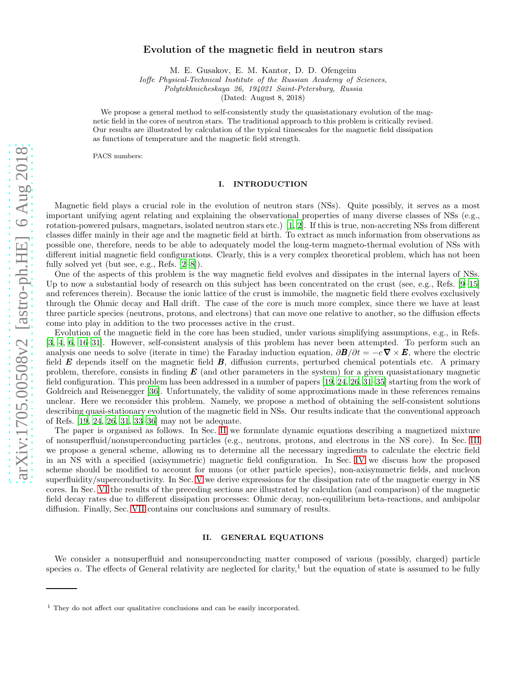# Evolution of the magnetic field in neutron stars

M. E. Gusakov, E. M. Kantor, D. D. Ofengeim

Ioffe Physical-Technical Institute of the Russian Academy of Sciences,

Polytekhnicheskaya 26, 194021 Saint-Petersburg, Russia

(Dated: August 8, 2018)

We propose a general method to self-consistently study the quasistationary evolution of the magnetic field in the cores of neutron stars. The traditional approach to this problem is critically revised. Our results are illustrated by calculation of the typical timescales for the magnetic field dissipation as functions of temperature and the magnetic field strength.

PACS numbers:

## I. INTRODUCTION

Magnetic field plays a crucial role in the evolution of neutron stars (NSs). Quite possibly, it serves as a most important unifying agent relating and explaining the observational properties of many diverse classes of NSs (e.g., rotation-powered pulsars, magnetars, isolated neutron stars etc.) [\[1,](#page-20-0) [2](#page-20-1)]. If this is true, non-accreting NSs from different classes differ mainly in their age and the magnetic field at birth. To extract as much information from observations as possible one, therefore, needs to be able to adequately model the long-term magneto-thermal evolution of NSs with different initial magnetic field configurations. Clearly, this is a very complex theoretical problem, which has not been fully solved yet (but see, e.g., Refs. [\[2](#page-20-1)[–8\]](#page-20-2)).

One of the aspects of this problem is the way magnetic field evolves and dissipates in the internal layers of NSs. Up to now a substantial body of research on this subject has been concentrated on the crust (see, e.g., Refs. [\[9](#page-20-3)[–15\]](#page-20-4) and references therein). Because the ionic lattice of the crust is immobile, the magnetic field there evolves exclusively through the Ohmic decay and Hall drift. The case of the core is much more complex, since there we have at least three particle species (neutrons, protons, and electrons) that can move one relative to another, so the diffusion effects come into play in addition to the two processes active in the crust.

Evolution of the magnetic field in the core has been studied, under various simplifying assumptions, e.g., in Refs. [\[3,](#page-20-5) [4,](#page-20-6) [6,](#page-20-7) [16–](#page-20-8)[31\]](#page-20-9). However, self-consistent analysis of this problem has never been attempted. To perform such an analysis one needs to solve (iterate in time) the Faraday induction equation,  $\partial \mathbf{B}/\partial t = -c \nabla \times \mathbf{E}$ , where the electric field  $E$  depends itself on the magnetic field  $B$ , diffusion currents, perturbed chemical potentials etc. A primary problem, therefore, consists in finding  $\bm{E}$  (and other parameters in the system) for a given quasistationary magnetic field configuration. This problem has been addressed in a number of papers [\[19,](#page-20-10) [24](#page-20-11), [26](#page-20-12), [31](#page-20-9)[–35](#page-20-13)] starting from the work of Goldreich and Reisenegger [\[36](#page-20-14)]. Unfortunately, the validity of some approximations made in these references remains unclear. Here we reconsider this problem. Namely, we propose a method of obtaining the self-consistent solutions describing quasi-stationary evolution of the magnetic field in NSs. Our results indicate that the conventional approach of Refs. [\[19,](#page-20-10) [24,](#page-20-11) [26,](#page-20-12) [31](#page-20-9), [33](#page-20-15)[–36](#page-20-14)] may not be adequate.

The paper is organised as follows. In Sec. [II](#page-0-0) we formulate dynamic equations describing a magnetized mixture of nonsuperfluid/nonsuperconducting particles (e.g., neutrons, protons, and electrons in the NS core). In Sec. [III](#page-2-0) we propose a general scheme, allowing us to determine all the necessary ingredients to calculate the electric field in an NS with a specified (axisymmetric) magnetic field configuration. In Sec. [IV](#page-6-0) we discuss how the proposed scheme should be modified to account for muons (or other particle species), non-axisymmetric fields, and nucleon superfluidity/superconductivity. In Sec. [V](#page-9-0) we derive expressions for the dissipation rate of the magnetic energy in NS cores. In Sec. [VI](#page-11-0) the results of the preceding sections are illustrated by calculation (and comparison) of the magnetic field decay rates due to different dissipation processes: Ohmic decay, non-equilibrium beta-reactions, and ambipolar diffusion. Finally, Sec. [VII](#page-14-0) contains our conclusions and summary of results.

### <span id="page-0-0"></span>II. GENERAL EQUATIONS

We consider a nonsuperfluid and nonsuperconducting matter composed of various (possibly, charged) particle species  $\alpha$ . The effects of General relativity are neglected for clarity,<sup>1</sup> but the equation of state is assumed to be fully

<sup>&</sup>lt;sup>1</sup> They do not affect our qualitative conclusions and can be easily incorporated.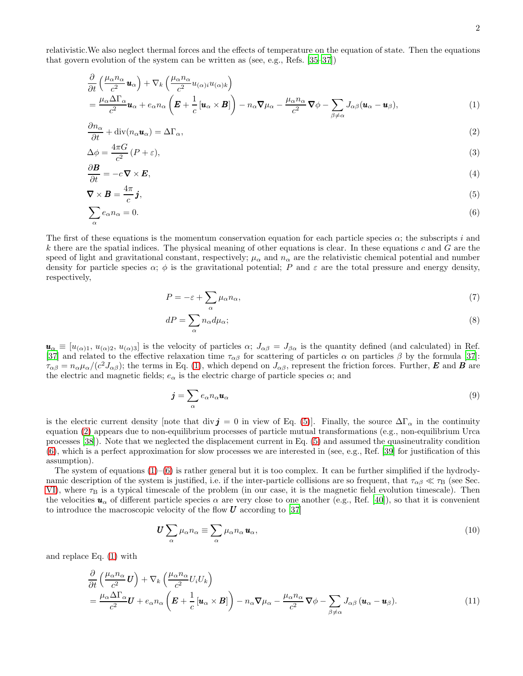relativistic.We also neglect thermal forces and the effects of temperature on the equation of state. Then the equations that govern evolution of the system can be written as (see, e.g., Refs. [\[35–](#page-20-13)[37\]](#page-20-16))

$$
\frac{\partial}{\partial t} \left( \frac{\mu_{\alpha} n_{\alpha}}{c^2} \mathbf{u}_{\alpha} \right) + \nabla_k \left( \frac{\mu_{\alpha} n_{\alpha}}{c^2} u_{(\alpha)i} u_{(\alpha)k} \right) \n= \frac{\mu_{\alpha} \Delta \Gamma_{\alpha}}{c^2} \mathbf{u}_{\alpha} + e_{\alpha} n_{\alpha} \left( \mathbf{E} + \frac{1}{c} \left[ \mathbf{u}_{\alpha} \times \mathbf{B} \right] \right) - n_{\alpha} \nabla \mu_{\alpha} - \frac{\mu_{\alpha} n_{\alpha}}{c^2} \nabla \phi - \sum_{\beta \neq \alpha} J_{\alpha\beta} (\mathbf{u}_{\alpha} - \mathbf{u}_{\beta}),
$$
\n(1)

$$
\frac{\partial n_{\alpha}}{\partial t} + \text{div}(n_{\alpha} \mathbf{u}_{\alpha}) = \Delta \Gamma_{\alpha},\tag{2}
$$

$$
\Delta \phi = \frac{4\pi G}{c^2} (P + \varepsilon),\tag{3}
$$

$$
\frac{\partial \mathbf{B}}{\partial t} = -c \nabla \times \mathbf{E},\tag{4}
$$

$$
\nabla \times \mathbf{B} = \frac{4\pi}{c} \mathbf{j},\tag{5}
$$
\n
$$
\sum e_n = -0
$$

$$
\sum_{\alpha} e_{\alpha} n_{\alpha} = 0. \tag{6}
$$

The first of these equations is the momentum conservation equation for each particle species  $\alpha$ ; the subscripts i and k there are the spatial indices. The physical meaning of other equations is clear. In these equations c and  $G$  are the speed of light and gravitational constant, respectively;  $\mu_{\alpha}$  and  $n_{\alpha}$  are the relativistic chemical potential and number density for particle species  $\alpha$ ;  $\phi$  is the gravitational potential; P and  $\varepsilon$  are the total pressure and energy density, respectively,

<span id="page-1-8"></span><span id="page-1-5"></span><span id="page-1-3"></span><span id="page-1-2"></span><span id="page-1-1"></span><span id="page-1-0"></span>
$$
P = -\varepsilon + \sum_{\alpha} \mu_{\alpha} n_{\alpha},\tag{7}
$$

<span id="page-1-7"></span><span id="page-1-6"></span>
$$
dP = \sum_{\alpha} n_{\alpha} d\mu_{\alpha};\tag{8}
$$

 $u_{\alpha} \equiv [u_{(\alpha)1}, u_{(\alpha)2}, u_{(\alpha)3}]$  is the velocity of particles  $\alpha$ ;  $J_{\alpha\beta} = J_{\beta\alpha}$  is the quantity defined (and calculated) in Ref. [\[37\]](#page-20-16) and related to the effective relaxation time  $\tau_{\alpha\beta}$  for scattering of particles  $\alpha$  on particles  $\beta$  by the formula [\[37\]](#page-20-16):  $\tau_{\alpha\beta} = n_{\alpha}\mu_{\alpha}/(c^2J_{\alpha\beta})$ ; the terms in Eq. [\(1\)](#page-1-0), which depend on  $J_{\alpha\beta}$ , represent the friction forces. Further, **E** and **B** are the electric and magnetic fields;  $e_{\alpha}$  is the electric charge of particle species  $\alpha$ ; and

<span id="page-1-10"></span>
$$
\mathbf{j} = \sum_{\alpha} e_{\alpha} n_{\alpha} \mathbf{u}_{\alpha} \tag{9}
$$

is the electric current density [note that div j = 0 in view of Eq. [\(5\)](#page-1-1)]. Finally, the source  $\Delta\Gamma_{\alpha}$  in the continuity equation [\(2\)](#page-1-2) appears due to non-equilibrium processes of particle mutual transformations (e.g., non-equilibrium Urca processes [\[38](#page-20-17)]). Note that we neglected the displacement current in Eq. [\(5\)](#page-1-1) and assumed the quasineutrality condition [\(6\)](#page-1-3), which is a perfect approximation for slow processes we are interested in (see, e.g., Ref. [\[39](#page-20-18)] for justification of this assumption).

The system of equations  $(1)$ – $(6)$  is rather general but it is too complex. It can be further simplified if the hydrodynamic description of the system is justified, i.e. if the inter-particle collisions are so frequent, that  $\tau_{\alpha\beta} \ll \tau_{\rm B}$  (see Sec. [VI\)](#page-11-0), where  $\tau_B$  is a typical timescale of the problem (in our case, it is the magnetic field evolution timescale). Then the velocities  $u_{\alpha}$  of different particle species  $\alpha$  are very close to one another (e.g., Ref. [\[40\]](#page-20-19)), so that it is convenient to introduce the macroscopic velocity of the flow  $U$  according to [\[37\]](#page-20-16)

<span id="page-1-9"></span><span id="page-1-4"></span>
$$
\boldsymbol{U} \sum_{\alpha} \mu_{\alpha} n_{\alpha} \equiv \sum_{\alpha} \mu_{\alpha} n_{\alpha} \boldsymbol{u}_{\alpha},\tag{10}
$$

and replace Eq. [\(1\)](#page-1-0) with

$$
\frac{\partial}{\partial t} \left( \frac{\mu_{\alpha} n_{\alpha}}{c^2} \mathbf{U} \right) + \nabla_k \left( \frac{\mu_{\alpha} n_{\alpha}}{c^2} U_i U_k \right) \n= \frac{\mu_{\alpha} \Delta \Gamma_{\alpha}}{c^2} \mathbf{U} + e_{\alpha} n_{\alpha} \left( \mathbf{E} + \frac{1}{c} \left[ \mathbf{u}_{\alpha} \times \mathbf{B} \right] \right) - n_{\alpha} \nabla \mu_{\alpha} - \frac{\mu_{\alpha} n_{\alpha}}{c^2} \nabla \phi - \sum_{\beta \neq \alpha} J_{\alpha \beta} \left( \mathbf{u}_{\alpha} - \mathbf{u}_{\beta} \right).
$$
\n(11)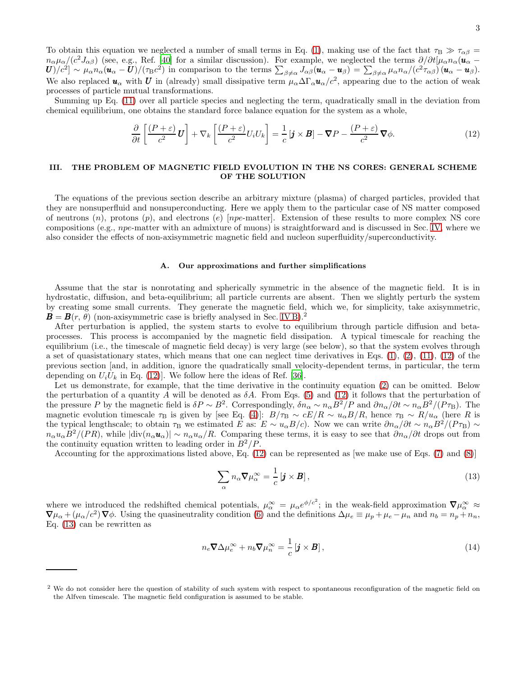To obtain this equation we neglected a number of small terms in Eq. [\(1\)](#page-1-0), making use of the fact that  $\tau_B \gg \tau_{\alpha\beta}$  $n_{\alpha}\mu_{\alpha}/(c^2J_{\alpha\beta})$  (see, e.g., Ref. [\[40](#page-20-19)] for a similar discussion). For example, we neglected the terms  $\partial/\partial t[\mu_{\alpha}n_{\alpha}(\mathbf{u}_{\alpha}-\mathbf{u}_{\alpha}])$  $U_{\ell} [U_{\ell}^{2}] \sim \mu_{\alpha} n_{\alpha} (u_{\alpha} - U) / (\tau_{\rm B} c^2)$  in comparison to the terms  $\sum_{\beta \neq \alpha} J_{\alpha\beta} (u_{\alpha} - u_{\beta}) = \sum_{\beta \neq \alpha} \mu_{\alpha} n_{\alpha} / (c^2 \tau_{\alpha \beta}) (u_{\alpha} - u_{\beta}).$ We also replaced  $u_\alpha$  with U in (already) small dissipative term  $\mu_\alpha \Delta \Gamma_\alpha u_\alpha/c^2$ , appearing due to the action of weak processes of particle mutual transformations.

Summing up Eq. [\(11\)](#page-1-4) over all particle species and neglecting the term, quadratically small in the deviation from chemical equilibrium, one obtains the standard force balance equation for the system as a whole,

<span id="page-2-1"></span>
$$
\frac{\partial}{\partial t} \left[ \frac{(P+\varepsilon)}{c^2} \mathbf{U} \right] + \nabla_k \left[ \frac{(P+\varepsilon)}{c^2} U_i U_k \right] = \frac{1}{c} \left[ \mathbf{j} \times \mathbf{B} \right] - \nabla P - \frac{(P+\varepsilon)}{c^2} \nabla \phi. \tag{12}
$$

# <span id="page-2-0"></span>III. THE PROBLEM OF MAGNETIC FIELD EVOLUTION IN THE NS CORES: GENERAL SCHEME OF THE SOLUTION

The equations of the previous section describe an arbitrary mixture (plasma) of charged particles, provided that they are nonsuperfluid and nonsuperconducting. Here we apply them to the particular case of NS matter composed of neutrons  $(n)$ , protons  $(p)$ , and electrons  $(e)$  [npe-matter]. Extension of these results to more complex NS core compositions (e.g., npe-matter with an admixture of muons) is straightforward and is discussed in Sec. [IV,](#page-6-0) where we also consider the effects of non-axisymmetric magnetic field and nucleon superfluidity/superconductivity.

#### <span id="page-2-3"></span>A. Our approximations and further simplifications

Assume that the star is nonrotating and spherically symmetric in the absence of the magnetic field. It is in hydrostatic, diffusion, and beta-equilibrium; all particle currents are absent. Then we slightly perturb the system by creating some small currents. They generate the magnetic field, which we, for simplicity, take axisymmetric,  $\mathbf{B} = \mathbf{B}(r, \theta)$  (non-axisymmetric case is briefly analysed in Sec. [IV B\)](#page-6-1).<sup>2</sup>

After perturbation is applied, the system starts to evolve to equilibrium through particle diffusion and betaprocesses. This process is accompanied by the magnetic field dissipation. A typical timescale for reaching the equilibrium (i.e., the timescale of magnetic field decay) is very large (see below), so that the system evolves through a set of quasistationary states, which means that one can neglect time derivatives in Eqs.  $(1)$ ,  $(2)$ ,  $(11)$ ,  $(12)$  of the previous section [and, in addition, ignore the quadratically small velocity-dependent terms, in particular, the term depending on  $U_iU_k$  in Eq. [\(12\)](#page-2-1)]. We follow here the ideas of Ref. [\[36\]](#page-20-14).

Let us demonstrate, for example, that the time derivative in the continuity equation [\(2\)](#page-1-2) can be omitted. Below the perturbation of a quantity A will be denoted as  $\delta A$ . From Eqs. [\(5\)](#page-1-1) and [\(12\)](#page-2-1) it follows that the perturbation of the pressure P by the magnetic field is  $\delta P \sim B^2$ . Correspondingly,  $\delta n_\alpha \sim n_\alpha B^2/P$  and  $\partial n_\alpha/\partial t \sim n_\alpha B^2/(P\tau_B)$ . The magnetic evolution timescale  $\tau_B$  is given by [see Eq. [\(4\)](#page-1-5)]:  $B/\tau_B \sim cE/R \sim u_\alpha B/R$ , hence  $\tau_B \sim R/u_\alpha$  (here R is the typical lengthscale; to obtain  $\tau_B$  we estimated E as:  $E \sim u_\alpha B/c$ . Now we can write  $\partial n_\alpha/\partial t \sim n_\alpha B^2/(P\tau_B) \sim$  $n_{\alpha}u_{\alpha}B^2/(PR)$ , while  $|\text{div}(n_{\alpha}u_{\alpha})| \sim n_{\alpha}u_{\alpha}/R$ . Comparing these terms, it is easy to see that  $\partial n_{\alpha}/\partial t$  drops out from the continuity equation written to leading order in  $B^2/P$ .

Accounting for the approximations listed above, Eq. [\(12\)](#page-2-1) can be represented as [we make use of Eqs. [\(7\)](#page-1-6) and [\(8\)](#page-1-7)]

<span id="page-2-2"></span>
$$
\sum_{\alpha} n_{\alpha} \nabla \mu_{\alpha}^{\infty} = \frac{1}{c} \left[ \mathbf{j} \times \mathbf{B} \right],\tag{13}
$$

where we introduced the redshifted chemical potentials,  $\mu_{\alpha}^{\infty} = \mu_{\alpha} e^{\phi/c^2}$ ; in the weak-field approximation  $\nabla \mu_{\alpha}^{\infty} \approx$  $\nabla \mu_\alpha + (\mu_\alpha/c^2) \nabla \phi$ . Using the quasineutrality condition [\(6\)](#page-1-3) and the definitions  $\Delta \mu_e \equiv \mu_p + \mu_e - \mu_n$  and  $n_b = n_p + n_n$ , Eq. [\(13\)](#page-2-2) can be rewritten as

<span id="page-2-4"></span>
$$
n_e \nabla \Delta \mu_e^{\infty} + n_b \nabla \mu_n^{\infty} = \frac{1}{c} \left[ \mathbf{j} \times \mathbf{B} \right],
$$
\n(14)

<sup>&</sup>lt;sup>2</sup> We do not consider here the question of stability of such system with respect to spontaneous reconfiguration of the magnetic field on the Alfven timescale. The magnetic field configuration is assumed to be stable.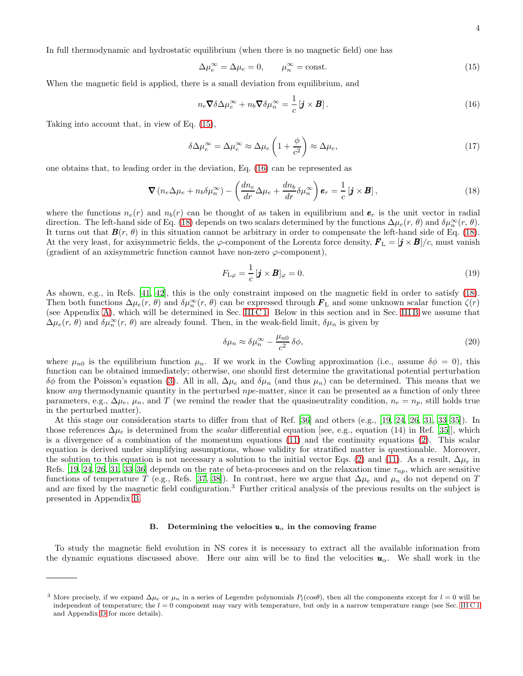In full thermodynamic and hydrostatic equilibrium (when there is no magnetic field) one has

<span id="page-3-0"></span>
$$
\Delta \mu_e^{\infty} = \Delta \mu_e = 0, \qquad \mu_n^{\infty} = \text{const.} \tag{15}
$$

When the magnetic field is applied, there is a small deviation from equilibrium, and

<span id="page-3-6"></span><span id="page-3-1"></span>
$$
n_e \nabla \delta \Delta \mu_e^{\infty} + n_b \nabla \delta \mu_n^{\infty} = \frac{1}{c} \left[ \mathbf{j} \times \mathbf{B} \right]. \tag{16}
$$

Taking into account that, in view of Eq. [\(15\)](#page-3-0),

$$
\delta \Delta \mu_e^{\infty} = \Delta \mu_e^{\infty} \approx \Delta \mu_e \left( 1 + \frac{\phi}{c^2} \right) \approx \Delta \mu_e,
$$
\n(17)

one obtains that, to leading order in the deviation, Eq. [\(16\)](#page-3-1) can be represented as

<span id="page-3-2"></span>
$$
\nabla \left( n_e \Delta \mu_e + n_b \delta \mu_n^{\infty} \right) - \left( \frac{dn_e}{dr} \Delta \mu_e + \frac{dn_b}{dr} \delta \mu_n^{\infty} \right) \mathbf{e}_r = \frac{1}{c} \left[ \mathbf{j} \times \mathbf{B} \right], \tag{18}
$$

where the functions  $n_e(r)$  and  $n_b(r)$  can be thought of as taken in equilibrium and  $e_r$  is the unit vector in radial direction. The left-hand side of Eq. [\(18\)](#page-3-2) depends on two scalars determined by the functions  $\Delta\mu_e(r, \theta)$  and  $\delta\mu_n^{\infty}(r, \theta)$ . It turns out that  $\mathbf{B}(r, \theta)$  in this situation cannot be arbitrary in order to compensate the left-hand side of Eq. [\(18\)](#page-3-2). At the very least, for axisymmetric fields, the  $\varphi$ -component of the Lorentz force density,  $\bm{F}_{\rm L} = [\bm{j} \times \bm{B}]/c$ , must vanish (gradient of an axisymmetric function cannot have non-zero  $\varphi$ -component),

<span id="page-3-4"></span>
$$
F_{\mathcal{L}\varphi} = \frac{1}{c} \left[ \mathbf{j} \times \mathbf{B} \right]_{\varphi} = 0. \tag{19}
$$

As shown, e.g., in Refs. [\[41,](#page-20-20) [42](#page-20-21)], this is the only constraint imposed on the magnetic field in order to satisfy [\(18\)](#page-3-2). Then both functions  $\Delta\mu_e(r, \theta)$  and  $\delta\mu_n^{\infty}(r, \theta)$  can be expressed through  $\mathbf{F}_L$  and some unknown scalar function  $\zeta(r)$ (see Appendix [A\)](#page-15-0), which will be determined in Sec. [III C 1.](#page-5-0) Below in this section and in Sec. [III B](#page-3-3) we assume that  $\Delta\mu_e(r, \theta)$  and  $\delta\mu_n^{\infty}(r, \theta)$  are already found. Then, in the weak-field limit,  $\delta\mu_n$  is given by

<span id="page-3-5"></span>
$$
\delta\mu_n \approx \delta\mu_n^{\infty} - \frac{\mu_{n0}}{c^2} \delta\phi,
$$
\n(20)

where  $\mu_{n0}$  is the equilibrium function  $\mu_n$ . If we work in the Cowling approximation (i.e., assume  $\delta\phi = 0$ ), this function can be obtained immediately; otherwise, one should first determine the gravitational potential perturbation δφ from the Poisson's equation [\(3\)](#page-1-8). All in all, ∆µ<sup>e</sup> and δµ<sup>n</sup> (and thus µn) can be determined. This means that we know any thermodynamic quantity in the perturbed npe-matter, since it can be presented as a function of only three parameters, e.g.,  $\Delta\mu_e$ ,  $\mu_n$ , and T (we remind the reader that the quasineutrality condition,  $n_e = n_p$ , still holds true in the perturbed matter).

At this stage our consideration starts to differ from that of Ref. [\[36\]](#page-20-14) and others (e.g., [\[19](#page-20-10), [24,](#page-20-11) [26](#page-20-12), [31,](#page-20-9) [33](#page-20-15)[–35\]](#page-20-13)). In those references  $\Delta\mu_e$  is determined from the *scalar* differential equation [see, e.g., equation (14) in Ref. [\[35\]](#page-20-13)], which is a divergence of a combination of the momentum equations [\(11\)](#page-1-4) and the continuity equations [\(2\)](#page-1-2). This scalar equation is derived under simplifying assumptions, whose validity for stratified matter is questionable. Moreover, the solution to this equation is not necessary a solution to the initial vector Eqs. [\(2\)](#page-1-2) and [\(11\)](#page-1-4). As a result,  $\Delta\mu_e$  in Refs. [\[19,](#page-20-10) [24](#page-20-11), [26](#page-20-12), [31](#page-20-9), [33](#page-20-15)[–36\]](#page-20-14) depends on the rate of beta-processes and on the relaxation time  $\tau_{np}$ , which are sensitive functions of temperature T (e.g., Refs. [\[37](#page-20-16), [38\]](#page-20-17)). In contrast, here we argue that  $\Delta\mu_e$  and  $\mu_n$  do not depend on T and are fixed by the magnetic field configuration.<sup>3</sup> Further critical analysis of the previous results on the subject is presented in Appendix [B.](#page-16-0)

#### <span id="page-3-3"></span>B. Determining the velocities  $u_{\alpha}$  in the comoving frame

To study the magnetic field evolution in NS cores it is necessary to extract all the available information from the dynamic equations discussed above. Here our aim will be to find the velocities  $u_{\alpha}$ . We shall work in the

<sup>&</sup>lt;sup>3</sup> More precisely, if we expand  $\Delta\mu_e$  or  $\mu_n$  in a series of Legendre polynomials  $P_l(\cos\theta)$ , then all the components except for  $l = 0$  will be independent of temperature; the  $l = 0$  component may vary with temperature, but only in a narrow temperature range (see Sec. [III C 1](#page-5-0) and Appendix [D](#page-17-0) for more details).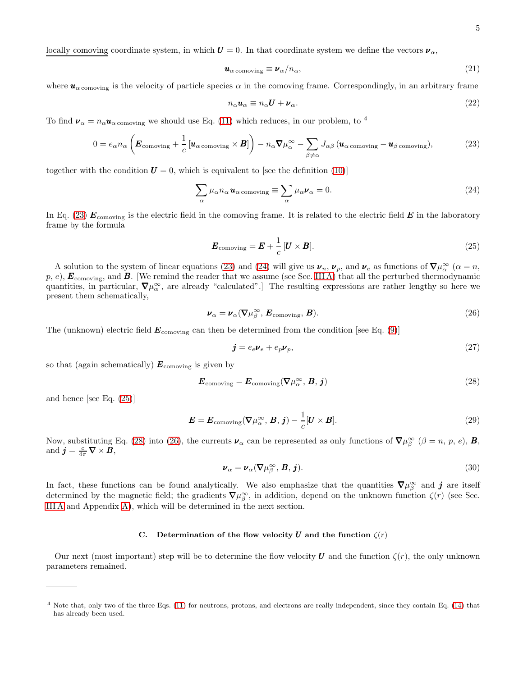locally comoving coordinate system, in which  $U = 0$ . In that coordinate system we define the vectors  $\nu_{\alpha}$ ,

$$
\mathbf{u}_{\alpha \text{ comoving}} \equiv \mathbf{\nu}_{\alpha} / n_{\alpha},\tag{21}
$$

where  $u_{\alpha\text{ comoving}}$  is the velocity of particle species  $\alpha$  in the comoving frame. Correspondingly, in an arbitrary frame

<span id="page-4-5"></span>
$$
n_{\alpha}u_{\alpha} \equiv n_{\alpha}U + \nu_{\alpha}.
$$
\n(22)

To find  $\nu_{\alpha} = n_{\alpha} u_{\alpha}$  comoving we should use Eq. [\(11\)](#page-1-4) which reduces, in our problem, to <sup>4</sup>

<span id="page-4-0"></span>
$$
0 = e_{\alpha} n_{\alpha} \left( \boldsymbol{E}_{\text{comoving}} + \frac{1}{c} \left[ \boldsymbol{u}_{\alpha \text{ comoving}} \times \boldsymbol{B} \right] \right) - n_{\alpha} \boldsymbol{\nabla} \mu_{\alpha}^{\infty} - \sum_{\beta \neq \alpha} J_{\alpha\beta} \left( \boldsymbol{u}_{\alpha \text{ comoving}} - \boldsymbol{u}_{\beta \text{ comoving}} \right), \tag{23}
$$

together with the condition  $U = 0$ , which is equivalent to [see the definition [\(10\)](#page-1-9)]

<span id="page-4-1"></span>
$$
\sum_{\alpha} \mu_{\alpha} n_{\alpha} \mathbf{u}_{\alpha \text{ comoving}} \equiv \sum_{\alpha} \mu_{\alpha} \mathbf{v}_{\alpha} = 0. \tag{24}
$$

In Eq. [\(23\)](#page-4-0)  $E_{\text{comoving}}$  is the electric field in the comoving frame. It is related to the electric field  $E$  in the laboratory frame by the formula

<span id="page-4-2"></span>
$$
\boldsymbol{E}_{\text{comoving}} = \boldsymbol{E} + \frac{1}{c} [\boldsymbol{U} \times \boldsymbol{B}]. \tag{25}
$$

A solution to the system of linear equations [\(23\)](#page-4-0) and [\(24\)](#page-4-1) will give us  $\nu_n$ ,  $\nu_p$ , and  $\nu_e$  as functions of  $\nabla \mu_\alpha^\infty$  ( $\alpha = n$ ,  $p, e$ ,  $\mathbf{E}_{\text{comoving}}$ , and  $\mathbf{B}$ . [We remind the reader that we assume (see Sec. [III A\)](#page-2-3) that all the perturbed thermodynamic quantities, in particular,  $\nabla \mu_{\alpha}^{\infty}$ , are already "calculated".] The resulting expressions are rather lengthy so here we present them schematically,

$$
\boldsymbol{\nu}_{\alpha} = \boldsymbol{\nu}_{\alpha} (\nabla \mu_{\beta}^{\infty}, \boldsymbol{E}_{\text{comoving}}, \boldsymbol{B}). \tag{26}
$$

The (unknown) electric field  $E_{\text{comoving}}$  can then be determined from the condition [see Eq. [\(9\)](#page-1-10)]

<span id="page-4-6"></span><span id="page-4-4"></span><span id="page-4-3"></span>
$$
\mathbf{j} = e_e \mathbf{\nu}_e + e_p \mathbf{\nu}_p,\tag{27}
$$

so that (again schematically)  $\mathbf{E}_{\text{comoving}}$  is given by

$$
\boldsymbol{E}_{\text{comoving}} = \boldsymbol{E}_{\text{comoving}}(\boldsymbol{\nabla}\mu_{\alpha}^{\infty}, \boldsymbol{B}, \boldsymbol{j})
$$
\n(28)

and hence [see Eq. [\(25\)](#page-4-2)]

$$
\boldsymbol{E} = \boldsymbol{E}_{\text{comoving}}(\boldsymbol{\nabla}\mu_{\alpha}^{\infty}, \boldsymbol{B}, \boldsymbol{j}) - \frac{1}{c}[\boldsymbol{U} \times \boldsymbol{B}]. \tag{29}
$$

Now, substituting Eq. [\(28\)](#page-4-3) into [\(26\)](#page-4-4), the currents  $\nu_{\alpha}$  can be represented as only functions of  $\nabla \mu_{\beta}^{\infty}$  ( $\beta = n, p, e$ ), **B**, and  $\boldsymbol{j} = \frac{c}{4\pi} \boldsymbol{\nabla} \times \boldsymbol{B}$ ,

<span id="page-4-8"></span>
$$
\boldsymbol{\nu}_{\alpha} = \boldsymbol{\nu}_{\alpha} (\nabla \mu_{\beta}^{\infty}, \boldsymbol{B}, \boldsymbol{j}). \tag{30}
$$

In fact, these functions can be found analytically. We also emphasize that the quantities  $\nabla \mu_{\beta}^{\infty}$  and  $\bm{j}$  are itself determined by the magnetic field; the gradients  $\nabla \mu_{\beta}^{\infty}$ , in addition, depend on the unknown function  $\zeta(r)$  (see Sec. [III A](#page-2-3) and Appendix [A\)](#page-15-0), which will be determined in the next section.

### <span id="page-4-7"></span>C. Determination of the flow velocity U and the function  $\zeta(r)$

Our next (most important) step will be to determine the flow velocity U and the function  $\zeta(r)$ , the only unknown parameters remained.

<sup>4</sup> Note that, only two of the three Eqs. [\(11\)](#page-1-4) for neutrons, protons, and electrons are really independent, since they contain Eq. [\(14\)](#page-2-4) that has already been used.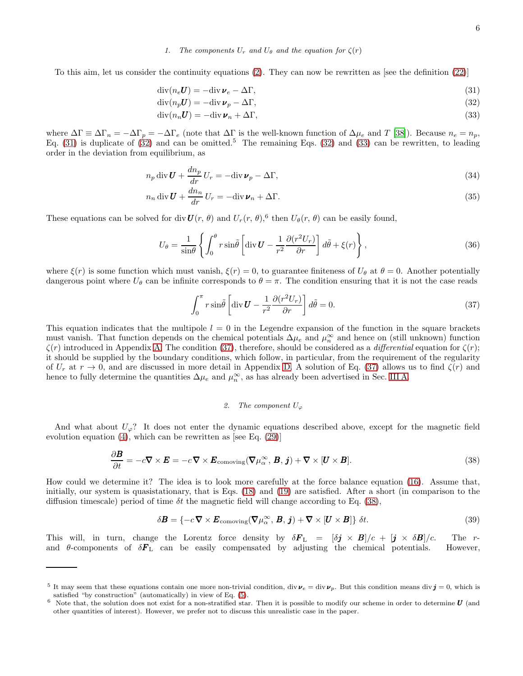### <span id="page-5-3"></span><span id="page-5-2"></span><span id="page-5-1"></span><span id="page-5-0"></span>1. The components  $U_r$  and  $U_\theta$  and the equation for  $\zeta(r)$

To this aim, let us consider the continuity equations [\(2\)](#page-1-2). They can now be rewritten as [see the definition [\(22\)](#page-4-5)]

$$
\operatorname{div}(n_e \boldsymbol{U}) = -\operatorname{div} \boldsymbol{\nu}_e - \Delta \Gamma,\tag{31}
$$

$$
\operatorname{div}(n_p U) = -\operatorname{div} \boldsymbol{\nu}_p - \Delta \Gamma,\tag{32}
$$

$$
\operatorname{div}(n_n U) = -\operatorname{div} \boldsymbol{\nu}_n + \Delta \Gamma,\tag{33}
$$

where  $\Delta\Gamma \equiv \Delta\Gamma_n = -\Delta\Gamma_p = -\Delta\Gamma_e$  (note that  $\Delta\Gamma$  is the well-known function of  $\Delta\mu_e$  and T [\[38](#page-20-17)]). Because  $n_e = n_p$ , Eq. [\(31\)](#page-5-1) is duplicate of  $(32)$  and can be omitted.<sup>5</sup> The remaining Eqs. [\(32\)](#page-5-2) and [\(33\)](#page-5-3) can be rewritten, to leading order in the deviation from equilibrium, as

$$
n_p \operatorname{div} \boldsymbol{U} + \frac{dn_p}{dr} U_r = -\operatorname{div} \boldsymbol{\nu}_p - \Delta \Gamma,
$$
\n(34)

$$
n_n \operatorname{div} \mathbf{U} + \frac{dn_n}{dr} U_r = -\operatorname{div} \mathbf{v}_n + \Delta \Gamma.
$$
 (35)

These equations can be solved for div  $\mathbf{U}(r, \theta)$  and  $U_r(r, \theta)$ ,<sup>6</sup> then  $U_\theta(r, \theta)$  can be easily found,

$$
U_{\theta} = \frac{1}{\sin \theta} \left\{ \int_0^{\theta} r \sin \tilde{\theta} \left[ \operatorname{div} \mathbf{U} - \frac{1}{r^2} \frac{\partial (r^2 U_r)}{\partial r} \right] d\tilde{\theta} + \xi(r) \right\},\tag{36}
$$

where  $\xi(r)$  is some function which must vanish,  $\xi(r) = 0$ , to guarantee finiteness of  $U_{\theta}$  at  $\theta = 0$ . Another potentially dangerous point where  $U_{\theta}$  can be infinite corresponds to  $\theta = \pi$ . The condition ensuring that it is not the case reads

<span id="page-5-8"></span><span id="page-5-7"></span><span id="page-5-6"></span>
$$
\int_0^\pi r \sin\tilde{\theta} \left[ \operatorname{div} \mathbf{U} - \frac{1}{r^2} \frac{\partial (r^2 U_r)}{\partial r} \right] d\tilde{\theta} = 0. \tag{37}
$$

This equation indicates that the multipole  $l = 0$  in the Legendre expansion of the function in the square brackets must vanish. That function depends on the chemical potentials  $\Delta\mu_e$  and  $\mu_n^{\infty}$  and hence on (still unknown) function  $\zeta(r)$  introduced in Appendix [A.](#page-15-0) The condition [\(37\)](#page-5-4), therefore, should be considered as a *differential* equation for  $\zeta(r)$ ; it should be supplied by the boundary conditions, which follow, in particular, from the requirement of the regularity of  $U_r$  at  $r \to 0$ , and are discussed in more detail in Appendix [D.](#page-17-0) A solution of Eq. [\(37\)](#page-5-4) allows us to find  $\zeta(r)$  and hence to fully determine the quantities  $\Delta\mu_e$  and  $\mu_n^{\infty}$ , as has already been advertised in Sec. [III A.](#page-2-3)

# <span id="page-5-5"></span><span id="page-5-4"></span>2. The component  $U_{\varphi}$

And what about  $U_{\varphi}$ ? It does not enter the dynamic equations described above, except for the magnetic field evolution equation  $(4)$ , which can be rewritten as [see Eq.  $(29)$ ]

$$
\frac{\partial \boldsymbol{B}}{\partial t} = -c \nabla \times \boldsymbol{E} = -c \nabla \times \boldsymbol{E}_{\text{comoving}} (\nabla \mu_{\alpha}^{\infty}, \boldsymbol{B}, \boldsymbol{j}) + \nabla \times [\boldsymbol{U} \times \boldsymbol{B}]. \tag{38}
$$

How could we determine it? The idea is to look more carefully at the force balance equation [\(16\)](#page-3-1). Assume that, initially, our system is quasistationary, that is Eqs.  $(18)$  and  $(19)$  are satisfied. After a short (in comparison to the diffusion timescale) period of time  $\delta t$  the magnetic field will change according to Eq. [\(38\)](#page-5-5),

$$
\delta \boldsymbol{B} = \{-c \boldsymbol{\nabla} \times \boldsymbol{E}_{\text{comoving}}(\boldsymbol{\nabla}\mu_{\alpha}^{\infty}, \boldsymbol{B}, \boldsymbol{j}) + \boldsymbol{\nabla} \times [\boldsymbol{U} \times \boldsymbol{B}]\} \delta t. \tag{39}
$$

This will, in turn, change the Lorentz force density by  $\delta \mathbf{F}_{\text{L}} = [\delta \mathbf{j} \times \mathbf{B}]/c + [\mathbf{j} \times \delta \mathbf{B}]/c$ . The rand  $\theta$ -components of  $\delta F_L$  can be easily compensated by adjusting the chemical potentials. However,

<sup>&</sup>lt;sup>5</sup> It may seem that these equations contain one more non-trivial condition, div  $v_e = \text{div } v_p$ . But this condition means div  $j = 0$ , which is satisfied "by construction" (automatically) in view of Eq. [\(5\)](#page-1-1).

 $6$  Note that, the solution does not exist for a non-stratified star. Then it is possible to modify our scheme in order to determine  $U$  (and other quantities of interest). However, we prefer not to discuss this unrealistic case in the paper.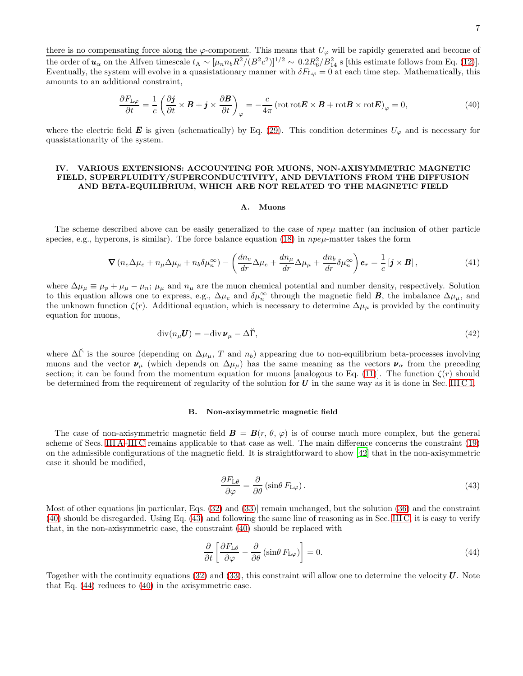there is no compensating force along the  $\varphi$ -component. This means that  $U_{\varphi}$  will be rapidly generated and become of the order of  $u_{\alpha}$  on the Alfven timescale  $t_{A} \sim [\mu_n n_b R^2 / (B^2 c^2)]^{1/2} \sim 0.2 R_6^2 / B_{14}^2$  s [this estimate follows from Eq. [\(12\)](#page-2-1)]. Eventually, the system will evolve in a quasistationary manner with  $\delta F_{L\varphi} = 0$  at each time step. Mathematically, this amounts to an additional constraint,

$$
\frac{\partial F_{\mathrm{L}\varphi}}{\partial t} = \frac{1}{c} \left( \frac{\partial \mathbf{j}}{\partial t} \times \mathbf{B} + \mathbf{j} \times \frac{\partial \mathbf{B}}{\partial t} \right)_{\varphi} = -\frac{c}{4\pi} \left( \text{rot} \operatorname{rot} \mathbf{E} \times \mathbf{B} + \text{rot} \mathbf{B} \times \text{rot} \mathbf{E} \right)_{\varphi} = 0, \tag{40}
$$

where the electric field E is given (schematically) by Eq. [\(29\)](#page-4-6). This condition determines  $U_{\varphi}$  and is necessary for quasistationarity of the system.

# <span id="page-6-0"></span>IV. VARIOUS EXTENSIONS: ACCOUNTING FOR MUONS, NON-AXISYMMETRIC MAGNETIC FIELD, SUPERFLUIDITY/SUPERCONDUCTIVITY, AND DEVIATIONS FROM THE DIFFUSION AND BETA-EQUILIBRIUM, WHICH ARE NOT RELATED TO THE MAGNETIC FIELD

#### <span id="page-6-6"></span><span id="page-6-2"></span>A. Muons

The scheme described above can be easily generalized to the case of  $npe\mu$  matter (an inclusion of other particle species, e.g., hyperons, is similar). The force balance equation [\(18\)](#page-3-2) in  $npe\mu$ -matter takes the form

<span id="page-6-5"></span>
$$
\nabla \left( n_e \Delta \mu_e + n_\mu \Delta \mu_\mu + n_b \delta \mu_n^\infty \right) - \left( \frac{dn_e}{dr} \Delta \mu_e + \frac{dn_\mu}{dr} \Delta \mu_\mu + \frac{dn_b}{dr} \delta \mu_n^\infty \right) \mathbf{e}_r = \frac{1}{c} \left[ \mathbf{j} \times \mathbf{B} \right],\tag{41}
$$

where  $\Delta\mu_{\mu} \equiv \mu_p + \mu_{\mu} - \mu_n$ ;  $\mu_{\mu}$  and  $n_{\mu}$  are the muon chemical potential and number density, respectively. Solution to this equation allows one to express, e.g.,  $\Delta\mu_e$  and  $\delta\mu_n^{\infty}$  through the magnetic field **B**, the imbalance  $\Delta\mu_\mu$ , and the unknown function  $\zeta(r)$ . Additional equation, which is necessary to determine  $\Delta\mu_{\mu}$  is provided by the continuity equation for muons,

$$
\operatorname{div}(n_{\mu}U) = -\operatorname{div}\boldsymbol{\nu}_{\mu} - \Delta\breve{\Gamma},\tag{42}
$$

where  $\Delta\Gamma$  is the source (depending on  $\Delta\mu_{\mu}$ , T and  $n_b$ ) appearing due to non-equilibrium beta-processes involving muons and the vector  $\nu_{\mu}$  (which depends on  $\Delta\mu_{\mu}$ ) has the same meaning as the vectors  $\nu_{\alpha}$  from the preceding section; it can be found from the momentum equation for muons [analogous to Eq. [\(11\)](#page-1-4)]. The function  $\zeta(r)$  should be determined from the requirement of regularity of the solution for  $U$  in the same way as it is done in Sec. [III C 1.](#page-5-0)

#### <span id="page-6-1"></span>B. Non-axisymmetric magnetic field

The case of non-axisymmetric magnetic field  $\mathbf{B} = \mathbf{B}(r, \theta, \varphi)$  is of course much more complex, but the general scheme of Secs. [III A–](#page-2-3)[III C](#page-4-7) remains applicable to that case as well. The main difference concerns the constraint [\(19\)](#page-3-4) on the admissible configurations of the magnetic field. It is straightforward to show [\[42\]](#page-20-21) that in the non-axisymmetric case it should be modified,

<span id="page-6-4"></span><span id="page-6-3"></span>
$$
\frac{\partial F_{\rm L\theta}}{\partial \varphi} = \frac{\partial}{\partial \theta} \left( \sin \theta \, F_{\rm L\varphi} \right). \tag{43}
$$

Most of other equations [in particular, Eqs. [\(32\)](#page-5-2) and [\(33\)](#page-5-3)] remain unchanged, but the solution [\(36\)](#page-5-6) and the constraint [\(40\)](#page-6-2) should be disregarded. Using Eq. [\(43\)](#page-6-3) and following the same line of reasoning as in Sec. [III C,](#page-4-7) it is easy to verify that, in the non-axisymmetric case, the constraint [\(40\)](#page-6-2) should be replaced with

$$
\frac{\partial}{\partial t} \left[ \frac{\partial F_{\mathcal{L}\theta}}{\partial \varphi} - \frac{\partial}{\partial \theta} \left( \sin \theta \, F_{\mathcal{L}\varphi} \right) \right] = 0. \tag{44}
$$

Together with the continuity equations  $(32)$  and  $(33)$ , this constraint will allow one to determine the velocity  $\boldsymbol{U}$ . Note that Eq. [\(44\)](#page-6-4) reduces to [\(40\)](#page-6-2) in the axisymmetric case.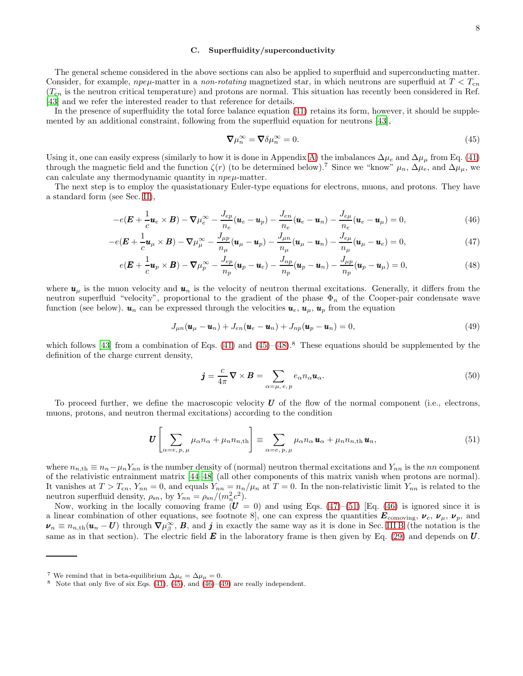## <span id="page-7-4"></span>C. Superfluidity/superconductivity

The general scheme considered in the above sections can also be applied to superfluid and superconducting matter. Consider, for example, *npe<sub>µ</sub>*-matter in a *non-rotating* magnetized star, in which neutrons are superfluid at  $T < T_{cn}$  $(T_{cn})$  is the neutron critical temperature) and protons are normal. This situation has recently been considered in Ref. [\[43\]](#page-20-22) and we refer the interested reader to that reference for details.

In the presence of superfluidity the total force balance equation [\(41\)](#page-6-5) retains its form, however, it should be supplemented by an additional constraint, following from the superfluid equation for neutrons [\[43](#page-20-22)],

<span id="page-7-0"></span>
$$
\nabla \mu_n^{\infty} = \nabla \delta \mu_n^{\infty} = 0. \tag{45}
$$

Using it, one can easily express (similarly to how it is done in Appendix [A\)](#page-15-0) the imbalances  $\Delta\mu_e$  and  $\Delta\mu_\mu$  from Eq. [\(41\)](#page-6-5) through the magnetic field and the function  $\zeta(r)$  (to be determined below).<sup>7</sup> Since we "know"  $\mu_n$ ,  $\Delta\mu_e$ , and  $\Delta\mu_\mu$ , we can calculate any thermodynamic quantity in npeµ-matter.

The next step is to employ the quasistationary Euler-type equations for electrons, muons, and protons. They have a standard form (see Sec. [II\)](#page-0-0),

<span id="page-7-1"></span>
$$
-e(\boldsymbol{E}+\frac{1}{c}\boldsymbol{u}_e\times\boldsymbol{B})-\boldsymbol{\nabla}\mu_e^{\infty}-\frac{J_{ep}}{n_e}(\boldsymbol{u}_e-\boldsymbol{u}_p)-\frac{J_{en}}{n_e}(\boldsymbol{u}_e-\boldsymbol{u}_n)-\frac{J_{ep}}{n_e}(\boldsymbol{u}_e-\boldsymbol{u}_\mu)=0,
$$
\n(46)

$$
-e(\boldsymbol{E}+\frac{1}{c}\boldsymbol{u}_{\mu}\times\boldsymbol{B})-\boldsymbol{\nabla}\mu_{\mu}^{\infty}-\frac{J_{\mu p}}{n_{\mu}}(\boldsymbol{u}_{\mu}-\boldsymbol{u}_{p})-\frac{J_{\mu n}}{n_{\mu}}(\boldsymbol{u}_{\mu}-\boldsymbol{u}_{n})-\frac{J_{e\mu}}{n_{\mu}}(\boldsymbol{u}_{\mu}-\boldsymbol{u}_{e})=0,
$$
\n(47)

$$
e(\boldsymbol{E}+\frac{1}{c}\boldsymbol{u}_p\times\boldsymbol{B})-\nabla\mu_p^{\infty}-\frac{J_{ep}}{n_p}(\boldsymbol{u}_p-\boldsymbol{u}_e)-\frac{J_{np}}{n_p}(\boldsymbol{u}_p-\boldsymbol{u}_n)-\frac{J_{\mu p}}{n_p}(\boldsymbol{u}_p-\boldsymbol{u}_\mu)=0,
$$
\n(48)

where  $u_{\mu}$  is the muon velocity and  $u_{n}$  is the velocity of neutron thermal excitations. Generally, it differs from the neutron superfluid "velocity", proportional to the gradient of the phase  $\Phi_n$  of the Cooper-pair condensate wave function (see below).  $u_n$  can be expressed through the velocities  $u_e$ ,  $u_\mu$ ,  $u_p$  from the equation

$$
J_{\mu n}(\boldsymbol{u}_{\mu}-\boldsymbol{u}_{n})+J_{en}(\boldsymbol{u}_{e}-\boldsymbol{u}_{n})+J_{np}(\boldsymbol{u}_{p}-\boldsymbol{u}_{n})=0,
$$
\n(49)

which follows [\[43\]](#page-20-22) from a combination of Eqs. [\(41\)](#page-6-5) and  $(45)$ – $(48)$ .<sup>8</sup> These equations should be supplemented by the definition of the charge current density,

<span id="page-7-3"></span><span id="page-7-2"></span>
$$
\mathbf{j} = \frac{c}{4\pi} \nabla \times \mathbf{B} = \sum_{\alpha = \mu, e, p} e_{\alpha} n_{\alpha} \mathbf{u}_{\alpha}.
$$
 (50)

To proceed further, we define the macroscopic velocity  $U$  of the flow of the normal component (i.e., electrons, muons, protons, and neutron thermal excitations) according to the condition

$$
\boldsymbol{U}\left[\sum_{\alpha=e,\,p,\,\mu}\mu_{\alpha}n_{\alpha}+\mu_{n}n_{n,\text{th}}\right]\equiv\sum_{\alpha=e,\,p,\,\mu}\mu_{\alpha}n_{\alpha}\,\boldsymbol{u}_{\alpha}+\mu_{n}n_{n,\text{th}}\,\boldsymbol{u}_{n},\tag{51}
$$

where  $n_{n,th} \equiv n_n - \mu_n Y_{nn}$  is the number density of (normal) neutron thermal excitations and  $Y_{nn}$  is the nn component of the relativistic entrainment matrix [\[44](#page-20-23)[–48\]](#page-20-24) (all other components of this matrix vanish when protons are normal). It vanishes at  $T > T_{cn}$ ,  $Y_{nn} = 0$ , and equals  $Y_{nn} = n_n/\mu_n$  at  $T = 0$ . In the non-relativistic limit  $Y_{nn}$  is related to the neutron superfluid density,  $\rho_{sn}$ , by  $Y_{nn} = \rho_{sn}/(m_n^2 c^2)$ .

Now, working in the locally comoving frame  $(U = 0)$  and using Eqs. [\(47\)](#page-7-1)–[\(51\)](#page-7-2) [Eq. [\(46\)](#page-7-1) is ignored since it is a linear combination of other equations, see footnote 8, one can express the quantities  $E_{\text{comoving}}$ ,  $v_e$ ,  $v_\mu$ ,  $v_p$ , and  $\nu_n \equiv n_{n,\text{th}}(\mathbf{u}_n - \mathbf{U})$  through  $\nabla \mu_{\beta}^{\infty}$ ,  $\mathbf{B}$ , and  $\boldsymbol{j}$  in exactly the same way as it is done in Sec. [III B](#page-3-3) (the notation is the same as in that section). The electric field  $\vec{E}$  in the laboratory frame is then given by Eq. [\(29\)](#page-4-6) and depends on  $\vec{U}$ .

<sup>&</sup>lt;sup>7</sup> We remind that in beta-equilibrium  $\Delta \mu_e = \Delta \mu_\mu = 0$ .

 $8$  Note that only five of six Eqs. [\(41\)](#page-6-5), [\(45\)](#page-7-0), and [\(46\)](#page-7-1)–[\(49\)](#page-7-3) are really independent.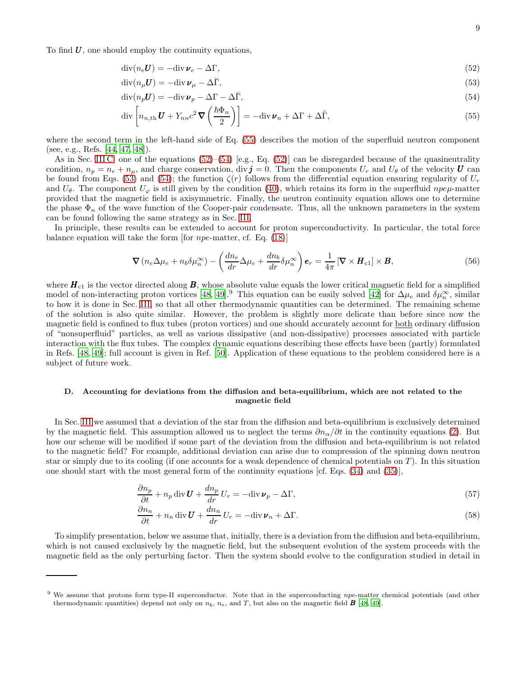To find  $U$ , one should employ the continuity equations,

$$
\operatorname{div}(n_e U) = -\operatorname{div} \boldsymbol{\nu}_e - \Delta \Gamma,\tag{52}
$$

<span id="page-8-3"></span><span id="page-8-1"></span>
$$
\operatorname{div}(n_{\mu}U) = -\operatorname{div}\boldsymbol{\nu}_{\mu} - \Delta\breve{\Gamma},\tag{53}
$$

$$
\operatorname{div}(n_p \mathbf{U}) = -\operatorname{div} \mathbf{\nu}_p - \Delta \Gamma - \Delta \breve{\Gamma},\tag{54}
$$

<span id="page-8-2"></span><span id="page-8-0"></span>
$$
\operatorname{div}\left[n_{n,\text{th}}\mathbf{U} + Y_{nn}c^2\mathbf{\nabla}\left(\frac{\hbar\Phi_n}{2}\right)\right] = -\operatorname{div}\mathbf{v}_n + \Delta\Gamma + \Delta\breve{\Gamma},\tag{55}
$$

where the second term in the left-hand side of Eq. [\(55\)](#page-8-0) describes the motion of the superfluid neutron component (see, e.g., Refs. [\[44](#page-20-23), [47,](#page-20-25) [48\]](#page-20-24)).

As in Sec. [III C,](#page-4-7) one of the equations  $(52)$ – $(54)$  [e.g., Eq. [\(52\)](#page-8-1)] can be disregarded because of the quasineutrality condition,  $n_p = n_e + n_\mu$ , and charge conservation, div  $\mathbf{j} = 0$ . Then the components  $U_r$  and  $U_\theta$  of the velocity  $\mathbf{U}$  can be found from Eqs. [\(53\)](#page-8-3) and [\(54\)](#page-8-2); the function  $\zeta(r)$  follows from the differential equation ensuring regularity of  $U_r$ and  $U_{\theta}$ . The component  $U_{\varphi}$  is still given by the condition [\(40\)](#page-6-2), which retains its form in the superfluid npe<sub> $\mu$ -matter</sub> provided that the magnetic field is axisymmetric. Finally, the neutron continuity equation allows one to determine the phase  $\Phi_n$  of the wave function of the Cooper-pair condensate. Thus, all the unknown parameters in the system can be found following the same strategy as in Sec. [III.](#page-2-0)

In principle, these results can be extended to account for proton superconductivity. In particular, the total force balance equation will take the form [for npe-matter, cf. Eq. [\(18\)](#page-3-2)]

$$
\nabla \left( n_e \Delta \mu_e + n_b \delta \mu_n^{\infty} \right) - \left( \frac{dn_e}{dr} \Delta \mu_e + \frac{dn_b}{dr} \delta \mu_n^{\infty} \right) \mathbf{e}_r = \frac{1}{4\pi} \left[ \nabla \times \mathbf{H}_{\text{cl}} \right] \times \mathbf{B}, \tag{56}
$$

where  $H_{c1}$  is the vector directed along  $B$ , whose absolute value equals the lower critical magnetic field for a simplified model of non-interacting proton vortices [\[48,](#page-20-24) [49\]](#page-20-26).<sup>9</sup> This equation can be easily solved [\[42\]](#page-20-21) for  $\Delta\mu_e$  and  $\delta\mu_n^{\infty}$ , similar to how it is done in Sec. [III,](#page-2-0) so that all other thermodynamic quantities can be determined. The remaining scheme of the solution is also quite similar. However, the problem is slightly more delicate than before since now the magnetic field is confined to flux tubes (proton vortices) and one should accurately account for both ordinary diffusion of "nonsuperfluid" particles, as well as various dissipative (and non-dissipative) processes associated with particle interaction with the flux tubes. The complex dynamic equations describing these effects have been (partly) formulated in Refs. [\[48](#page-20-24), [49](#page-20-26)]; full account is given in Ref. [\[50\]](#page-20-27). Application of these equations to the problem considered here is a subject of future work.

## <span id="page-8-6"></span>D. Accounting for deviations from the diffusion and beta-equilibrium, which are not related to the magnetic field

In Sec. [III](#page-2-0) we assumed that a deviation of the star from the diffusion and beta-equilibrium is exclusively determined by the magnetic field. This assumption allowed us to neglect the terms  $\partial n_{\alpha}/\partial t$  in the continuity equations [\(2\)](#page-1-2). But how our scheme will be modified if some part of the deviation from the diffusion and beta-equilibrium is not related to the magnetic field? For example, additional deviation can arise due to compression of the spinning down neutron star or simply due to its cooling (if one accounts for a weak dependence of chemical potentials on  $T$ ). In this situation one should start with the most general form of the continuity equations [cf. Eqs. [\(34\)](#page-5-7) and [\(35\)](#page-5-8)],

$$
\frac{\partial n_p}{\partial t} + n_p \operatorname{div} \boldsymbol{U} + \frac{dn_p}{dr} U_r = -\operatorname{div} \boldsymbol{\nu}_p - \Delta \Gamma,
$$
\n(57)

<span id="page-8-5"></span><span id="page-8-4"></span>
$$
\frac{\partial n_n}{\partial t} + n_n \operatorname{div} \mathbf{U} + \frac{dn_n}{dr} U_r = -\operatorname{div} \mathbf{v}_n + \Delta \Gamma.
$$
 (58)

To simplify presentation, below we assume that, initially, there is a deviation from the diffusion and beta-equilibrium, which is not caused exclusively by the magnetic field, but the subsequent evolution of the system proceeds with the magnetic field as the only perturbing factor. Then the system should evolve to the configuration studied in detail in

<sup>9</sup> We assume that protons form type-II superconductor. Note that in the superconducting npe-matter chemical potentials (and other thermodynamic quantities) depend not only on  $n_b$ ,  $n_e$ , and T, but also on the magnetic field **B** [\[48](#page-20-24), [49\]](#page-20-26).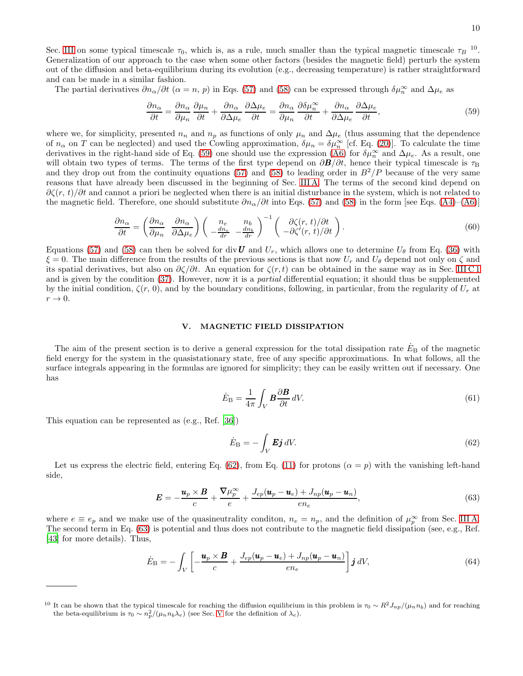The partial derivatives  $\partial n_{\alpha}/\partial t$  ( $\alpha = n$ , p) in Eqs. [\(57\)](#page-8-4) and [\(58\)](#page-8-5) can be expressed through  $\delta \mu_n^{\infty}$  and  $\Delta \mu_e$  as

<span id="page-9-1"></span>
$$
\frac{\partial n_{\alpha}}{\partial t} = \frac{\partial n_{\alpha}}{\partial \mu_{n}} \frac{\partial \mu_{n}}{\partial t} + \frac{\partial n_{\alpha}}{\partial \Delta \mu_{e}} \frac{\partial \Delta \mu_{e}}{\partial t} = \frac{\partial n_{\alpha}}{\partial \mu_{n}} \frac{\partial \delta \mu_{n}^{\infty}}{\partial t} + \frac{\partial n_{\alpha}}{\partial \Delta \mu_{e}} \frac{\partial \Delta \mu_{e}}{\partial t},
$$
\n(59)

where we, for simplicity, presented  $n_n$  and  $n_p$  as functions of only  $\mu_n$  and  $\Delta \mu_e$  (thus assuming that the dependence of  $n_{\alpha}$  on T can be neglected) and used the Cowling approximation,  $\delta\mu_n = \delta\mu_n^{\infty}$  [cf. Eq. [\(20\)](#page-3-5)]. To calculate the time derivatives in the right-hand side of Eq. [\(59\)](#page-9-1) one should use the expression [\(A6\)](#page-15-1) for  $\delta\mu_n^{\infty}$  and  $\Delta\mu_e$ . As a result, one will obtain two types of terms. The terms of the first type depend on  $\partial \mathbf{B}/\partial t$ , hence their typical timescale is  $\tau_B$ and they drop out from the continuity equations [\(57\)](#page-8-4) and [\(58\)](#page-8-5) to leading order in  $B^2/P$  because of the very same reasons that have already been discussed in the beginning of Sec. [III A.](#page-2-3) The terms of the second kind depend on  $\partial \zeta(r, t)/\partial t$  and cannot a priori be neglected when there is an initial disturbance in the system, which is not related to the magnetic field. Therefore, one should substitute  $\partial n_{\alpha}/\partial t$  into Eqs. [\(57\)](#page-8-4) and [\(58\)](#page-8-5) in the form [see Eqs. [\(A4\)](#page-15-2)–[\(A6\)](#page-15-1)]

$$
\frac{\partial n_{\alpha}}{\partial t} = \left(\frac{\partial n_{\alpha}}{\partial \mu_{n}} \frac{\partial n_{\alpha}}{\partial \Delta \mu_{e}}\right) \left(\begin{array}{cc} n_{e} & n_{b} \\ -\frac{dn_{e}}{dr} & -\frac{dn_{b}}{dr} \end{array}\right)^{-1} \left(\begin{array}{c} \partial \zeta(r,t)/\partial t \\ -\partial \zeta'(r,t)/\partial t \end{array}\right). \tag{60}
$$

Equations [\(57\)](#page-8-4) and [\(58\)](#page-8-5) can then be solved for div U and  $U_r$ , which allows one to determine  $U_\theta$  from Eq. [\(36\)](#page-5-6) with  $\xi = 0$ . The main difference from the results of the previous sections is that now  $U_r$  and  $U_\theta$  depend not only on  $\zeta$  and its spatial derivatives, but also on  $\partial \zeta/\partial t$ . An equation for  $\zeta(r,t)$  can be obtained in the same way as in Sec. [III C 1](#page-5-0) and is given by the condition [\(37\)](#page-5-4). However, now it is a *partial* differential equation; it should thus be supplemented by the initial condition,  $\zeta(r, 0)$ , and by the boundary conditions, following, in particular, from the regularity of  $U_r$  at  $r \rightarrow 0$ .

## <span id="page-9-0"></span>V. MAGNETIC FIELD DISSIPATION

The aim of the present section is to derive a general expression for the total dissipation rate  $E_B$  of the magnetic field energy for the system in the quasistationary state, free of any specific approximations. In what follows, all the surface integrals appearing in the formulas are ignored for simplicity; they can be easily written out if necessary. One has

<span id="page-9-5"></span>
$$
\dot{E}_{\rm B} = \frac{1}{4\pi} \int_V \mathbf{B} \frac{\partial \mathbf{B}}{\partial t} \, dV. \tag{61}
$$

This equation can be represented as (e.g., Ref. [\[36\]](#page-20-14))

<span id="page-9-2"></span>
$$
\dot{E}_{\rm B} = -\int_V \mathbf{E} \mathbf{j} \, dV. \tag{62}
$$

Let us express the electric field, entering Eq. [\(62\)](#page-9-2), from Eq. [\(11\)](#page-1-4) for protons  $(\alpha = p)$  with the vanishing left-hand side,

<span id="page-9-3"></span>
$$
E = -\frac{u_p \times B}{c} + \frac{\nabla \mu_p^{\infty}}{e} + \frac{J_{ep}(u_p - u_e) + J_{np}(u_p - u_n)}{en_e},
$$
\n(63)

where  $e \equiv e_p$  and we make use of the quasineutrality condition,  $n_e = n_p$ , and the definition of  $\mu_p^{\infty}$  from Sec. [III A.](#page-2-3) The second term in Eq. [\(63\)](#page-9-3) is potential and thus does not contribute to the magnetic field dissipation (see, e.g., Ref. [\[43\]](#page-20-22) for more details). Thus,

<span id="page-9-4"></span>
$$
\dot{E}_{\rm B} = -\int_V \left[ -\frac{\boldsymbol{u}_p \times \boldsymbol{B}}{c} + \frac{J_{ep}(\boldsymbol{u}_p - \boldsymbol{u}_e) + J_{np}(\boldsymbol{u}_p - \boldsymbol{u}_n)}{en_e} \right] \boldsymbol{j} \, dV, \tag{64}
$$

<sup>&</sup>lt;sup>10</sup> It can be shown that the typical timescale for reaching the diffusion equilibrium in this problem is  $\tau_0 \sim R^2 J_{np}/(\mu_n n_b)$  and for reaching the beta-equilibrium is  $\tau_0 \sim n_p^2/(\mu_n n_b \lambda_e)$  (see Sec. [V](#page-9-0) for the definition of  $\lambda_e$ ).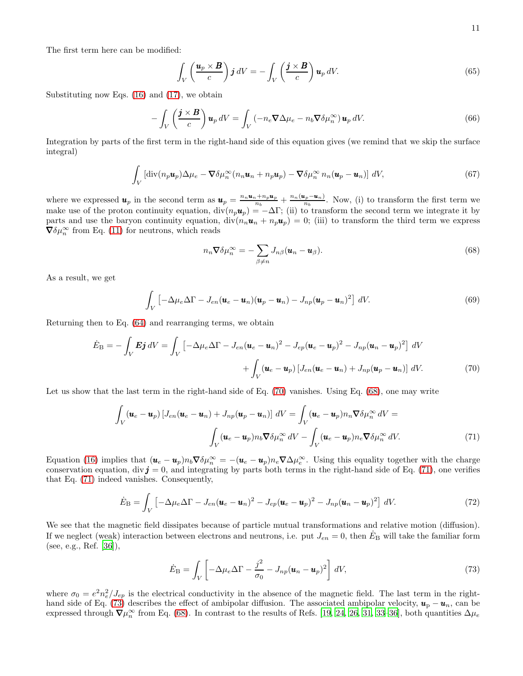The first term here can be modified:

$$
\int_{V} \left( \frac{\boldsymbol{u}_p \times \boldsymbol{B}}{c} \right) \boldsymbol{j} \, dV = - \int_{V} \left( \frac{\boldsymbol{j} \times \boldsymbol{B}}{c} \right) \boldsymbol{u}_p \, dV. \tag{65}
$$

Substituting now Eqs. [\(16\)](#page-3-1) and [\(17\)](#page-3-6), we obtain

$$
-\int_{V} \left(\frac{\boldsymbol{j} \times \boldsymbol{B}}{c}\right) \boldsymbol{u}_{p} dV = \int_{V} \left(-n_{e} \boldsymbol{\nabla} \Delta \mu_{e} - n_{b} \boldsymbol{\nabla} \delta \mu_{n}^{\infty}\right) \boldsymbol{u}_{p} dV. \tag{66}
$$

Integration by parts of the first term in the right-hand side of this equation gives (we remind that we skip the surface integral)

$$
\int_{V} \left[ \text{div}(n_p \mathbf{u}_p) \Delta \mu_e - \nabla \delta \mu_n^{\infty} (n_n \mathbf{u}_n + n_p \mathbf{u}_p) - \nabla \delta \mu_n^{\infty} n_n (\mathbf{u}_p - \mathbf{u}_n) \right] dV, \tag{67}
$$

where we expressed  $u_p$  in the second term as  $u_p = \frac{n_n u_n + n_p u_p}{n_h}$  $\frac{n+h_p\bm{u}_p}{n_b}+\frac{n_n(\bm{u}_p-\bm{u}_n)}{n_b}$  $\frac{\mu_p - u_n}{n_b}$ . Now, (i) to transform the first term we make use of the proton continuity equation,  $div(n_p\mathbf{u}_p) = -\Delta\Gamma$ ; (ii) to transform the second term we integrate it by parts and use the baryon continuity equation,  $div(n_n\mathbf{u}_n + n_p\mathbf{u}_p) = 0$ ; (iii) to transform the third term we express  $\boldsymbol{\nabla} \delta \mu_n^{\infty}$  from Eq. [\(11\)](#page-1-4) for neutrons, which reads

<span id="page-10-1"></span>
$$
n_n \nabla \delta \mu_n^{\infty} = -\sum_{\beta \neq n} J_{n\beta} (\mathbf{u}_n - \mathbf{u}_\beta).
$$
 (68)

As a result, we get

$$
\int_{V} \left[ -\Delta \mu_e \Delta \Gamma - J_{en} (\boldsymbol{u}_e - \boldsymbol{u}_n) (\boldsymbol{u}_p - \boldsymbol{u}_n) - J_{np} (\boldsymbol{u}_p - \boldsymbol{u}_n)^2 \right] dV.
$$
\n(69)

Returning then to Eq. [\(64\)](#page-9-4) and rearranging terms, we obtain

<span id="page-10-0"></span>
$$
\dot{E}_{\rm B} = -\int_V \boldsymbol{E} \boldsymbol{j} \,dV = \int_V \left[ -\Delta \mu_e \Delta \Gamma - J_{en} (\boldsymbol{u}_e - \boldsymbol{u}_n)^2 - J_{ep} (\boldsymbol{u}_e - \boldsymbol{u}_p)^2 - J_{np} (\boldsymbol{u}_n - \boldsymbol{u}_p)^2 \right] \,dV
$$

$$
+ \int_V (\boldsymbol{u}_e - \boldsymbol{u}_p) \left[ J_{en} (\boldsymbol{u}_e - \boldsymbol{u}_n) + J_{np} (\boldsymbol{u}_p - \boldsymbol{u}_n) \right] \,dV. \tag{70}
$$

Let us show that the last term in the right-hand side of Eq. [\(70\)](#page-10-0) vanishes. Using Eq. [\(68\)](#page-10-1), one may write

<span id="page-10-2"></span>
$$
\int_{V} (\mathbf{u}_e - \mathbf{u}_p) \left[ J_{en} (\mathbf{u}_e - \mathbf{u}_n) + J_{np} (\mathbf{u}_p - \mathbf{u}_n) \right] dV = \int_{V} (\mathbf{u}_e - \mathbf{u}_p) n_n \nabla \delta \mu_n^{\infty} dV =
$$
\n
$$
\int_{V} (\mathbf{u}_e - \mathbf{u}_p) n_b \nabla \delta \mu_n^{\infty} dV - \int_{V} (\mathbf{u}_e - \mathbf{u}_p) n_e \nabla \delta \mu_n^{\infty} dV.
$$
\n(71)

Equation [\(16\)](#page-3-1) implies that  $(\mathbf{u}_e - \mathbf{u}_p) n_b \nabla \delta \mu_n^{\infty} = -(\mathbf{u}_e - \mathbf{u}_p) n_e \nabla \Delta \mu_e^{\infty}$ . Using this equality together with the charge conservation equation, div  $j = 0$ , and integrating by parts both terms in the right-hand side of Eq. [\(71\)](#page-10-2), one verifies that Eq. [\(71\)](#page-10-2) indeed vanishes. Consequently,

<span id="page-10-4"></span>
$$
\dot{E}_{\rm B} = \int_V \left[ -\Delta \mu_e \Delta \Gamma - J_{en} (\boldsymbol{u}_e - \boldsymbol{u}_n)^2 - J_{ep} (\boldsymbol{u}_e - \boldsymbol{u}_p)^2 - J_{np} (\boldsymbol{u}_n - \boldsymbol{u}_p)^2 \right] dV.
$$
 (72)

We see that the magnetic field dissipates because of particle mutual transformations and relative motion (diffusion). If we neglect (weak) interaction between electrons and neutrons, i.e. put  $J_{en} = 0$ , then  $E_B$  will take the familiar form (see, e.g., Ref. [\[36\]](#page-20-14)),

<span id="page-10-3"></span>
$$
\dot{E}_{\rm B} = \int_V \left[ -\Delta \mu_e \Delta \Gamma - \frac{j^2}{\sigma_0} - J_{np} (\boldsymbol{u}_n - \boldsymbol{u}_p)^2 \right] dV, \tag{73}
$$

where  $\sigma_0 = e^2 n_e^2 / J_{ep}$  is the electrical conductivity in the absence of the magnetic field. The last term in the right-hand side of Eq. [\(73\)](#page-10-3) describes the effect of ambipolar diffusion. The associated ambipolar velocity,  $u_p - u_n$ , can be expressed through  $\nabla \mu_n^{\infty}$  from Eq. [\(68\)](#page-10-1). In contrast to the results of Refs. [\[19](#page-20-10), [24](#page-20-11), [26](#page-20-12), [31,](#page-20-9) [33](#page-20-15)[–36\]](#page-20-14), both quantities  $\Delta \mu_e$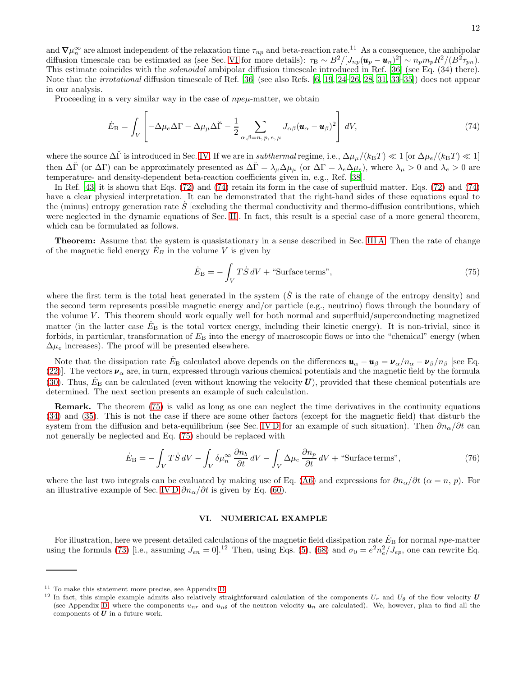and  $\nabla \mu_n^{\infty}$  are almost independent of the relaxation time  $\tau_{np}$  and beta-reaction rate.<sup>11</sup> As a consequence, the ambipolar diffusion timescale can be estimated as (see Sec. [VI](#page-11-0) for more details):  $\tau_B \sim B^2/[J_{np}(\mathbf{u}_p - \mathbf{u}_n)^2] \sim n_p m_p R^2/(B^2 \tau_{pn})$ . This estimate coincides with the *solenoidal* ambipolar diffusion timescale introduced in Ref. [\[36\]](#page-20-14) (see Eq. (34) there). Note that the irrotational diffusion timescale of Ref. [\[36](#page-20-14)] (see also Refs. [\[6,](#page-20-7) [19,](#page-20-10) [24–](#page-20-11)[26,](#page-20-12) [28](#page-20-28), [31](#page-20-9), [33](#page-20-15)[–35\]](#page-20-13)) does not appear in our analysis.

Proceeding in a very similar way in the case of  $npe\mu$ -matter, we obtain

$$
\dot{E}_{\rm B} = \int_V \left[ -\Delta \mu_e \Delta \Gamma - \Delta \mu_\mu \Delta \breve{\Gamma} - \frac{1}{2} \sum_{\alpha,\beta = n, p, e, \mu} J_{\alpha\beta} (\mathbf{u}_\alpha - \mathbf{u}_\beta)^2 \right] dV, \tag{74}
$$

where the source  $\Delta\tilde{\Gamma}$  is introduced in Sec. [IV.](#page-6-0) If we are in *subthermal* regime, i.e.,  $\Delta\mu_{\mu}/(k_BT) \ll 1$  [or  $\Delta\mu_e/(k_BT) \ll 1$ ] then  $\Delta\tilde{\Gamma}$  (or  $\Delta\Gamma$ ) can be approximately presented as  $\Delta\tilde{\Gamma} = \lambda_{\mu} \Delta \mu_{\mu}$  (or  $\Delta\Gamma = \lambda_e \Delta \mu_e$ ), where  $\lambda_{\mu} > 0$  and  $\lambda_e > 0$  are temperature- and density-dependent beta-reaction coefficients given in, e.g., Ref. [\[38](#page-20-17)].

In Ref. [\[43](#page-20-22)] it is shown that Eqs. [\(72\)](#page-10-4) and [\(74\)](#page-11-1) retain its form in the case of superfluid matter. Eqs. [\(72\)](#page-10-4) and [\(74\)](#page-11-1) have a clear physical interpretation. It can be demonstrated that the right-hand sides of these equations equal to the (minus) entropy generation rate  $\dot{S}$  [excluding the thermal conductivity and thermo-diffusion contributions, which were neglected in the dynamic equations of Sec. [II\]](#page-0-0). In fact, this result is a special case of a more general theorem, which can be formulated as follows.

Theorem: Assume that the system is quasistationary in a sense described in Sec. [III A.](#page-2-3) Then the rate of change of the magnetic field energy  $E_B$  in the volume V is given by

<span id="page-11-2"></span><span id="page-11-1"></span>
$$
\dot{E}_{\rm B} = -\int_V T \dot{S} \, dV + \text{``Surface terms''},\tag{75}
$$

where the first term is the <u>total</u> heat generated in the system  $(S$  is the rate of change of the entropy density) and the second term represents possible magnetic energy and/or particle (e.g., neutrino) flows through the boundary of the volume  $V$ . This theorem should work equally well for both normal and superfluid/superconducting magnetized matter (in the latter case  $E_B$  is the total vortex energy, including their kinetic energy). It is non-trivial, since it forbids, in particular, transformation of  $E_B$  into the energy of macroscopic flows or into the "chemical" energy (when  $\Delta\mu_e$  increases). The proof will be presented elsewhere.

Note that the dissipation rate  $\dot{E}_B$  calculated above depends on the differences  $\mathbf{u}_{\alpha} - \mathbf{u}_{\beta} = \mathbf{v}_{\alpha}/n_{\alpha} - \mathbf{v}_{\beta}/n_{\beta}$  [see Eq. [\(22\)](#page-4-5). The vectors  $\nu_{\alpha}$  are, in turn, expressed through various chemical potentials and the magnetic field by the formula [\(30\)](#page-4-8). Thus,  $\dot{E}_{\rm B}$  can be calculated (even without knowing the velocity U), provided that these chemical potentials are determined. The next section presents an example of such calculation.

Remark. The theorem [\(75\)](#page-11-2) is valid as long as one can neglect the time derivatives in the continuity equations [\(34\)](#page-5-7) and [\(35\)](#page-5-8). This is not the case if there are some other factors (except for the magnetic field) that disturb the system from the diffusion and beta-equilibrium (see Sec. IVD for an example of such situation). Then  $\partial n_{\alpha}/\partial t$  can not generally be neglected and Eq. [\(75\)](#page-11-2) should be replaced with

$$
\dot{E}_{\rm B} = -\int_V T\dot{S} \,dV - \int_V \delta \mu_n^{\infty} \frac{\partial n_b}{\partial t} \,dV - \int_V \Delta \mu_e \frac{\partial n_p}{\partial t} \,dV + \text{``Surface terms''},\tag{76}
$$

where the last two integrals can be evaluated by making use of Eq. [\(A6\)](#page-15-1) and expressions for  $\partial n_{\alpha}/\partial t$  ( $\alpha = n, p$ ). For an illustrative example of Sec. [IV D](#page-8-6)  $\partial n_{\alpha}/\partial t$  is given by Eq. [\(60\)](#page-9-5).

### <span id="page-11-0"></span>VI. NUMERICAL EXAMPLE

For illustration, here we present detailed calculations of the magnetic field dissipation rate  $\dot{E}_B$  for normal npe-matter using the formula [\(73\)](#page-10-3) [i.e., assuming  $J_{en} = 0$ ].<sup>12</sup> Then, using Eqs. [\(5\)](#page-1-1), [\(68\)](#page-10-1) and  $\sigma_0 = e^2 n_e^2 / J_{ep}$ , one can rewrite Eq.

<sup>&</sup>lt;sup>11</sup> To make this statement more precise, see Appendix [D.](#page-17-0)<br><sup>12</sup> In fact, this simple example admits also relatively sti

In fact, this simple example admits also relatively straightforward calculation of the components  $U_r$  and  $U_\theta$  of the flow velocity U (see Appendix [D,](#page-17-0) where the components  $u_{nr}$  and  $u_{n\theta}$  of the neutron velocity  $u_n$  are calculated). We, however, plan to find all the components of  $U$  in a future work.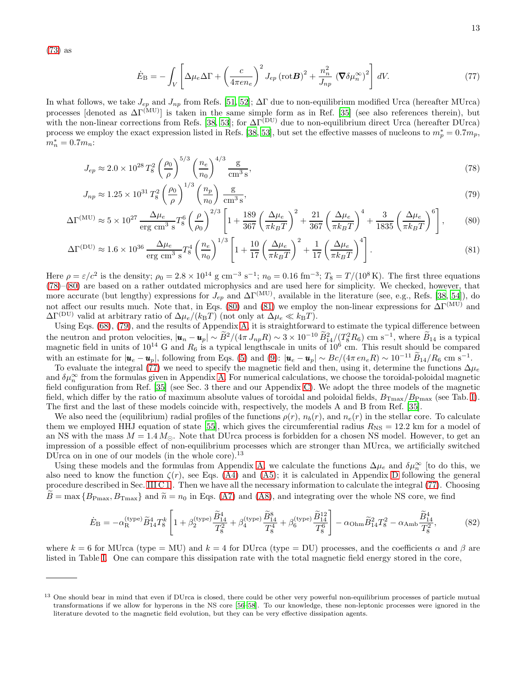[\(73\)](#page-10-3) as

<span id="page-12-4"></span><span id="page-12-3"></span><span id="page-12-2"></span><span id="page-12-1"></span><span id="page-12-0"></span>
$$
\dot{E}_{\rm B} = -\int_V \left[ \Delta \mu_e \Delta \Gamma + \left( \frac{c}{4\pi en_e} \right)^2 J_{ep} \left( \text{rot} \mathbf{B} \right)^2 + \frac{n_n^2}{J_{np}} \left( \nabla \delta \mu_n^{\infty} \right)^2 \right] dV. \tag{77}
$$

In what follows, we take  $J_{ep}$  and  $J_{np}$  from Refs. [\[51](#page-21-0), [52\]](#page-21-1);  $\Delta \Gamma$  due to non-equilibrium modified Urca (hereafter MUrca) processes [denoted as  $\Delta\Gamma^{(\mathrm{MU})}$ ] is taken in the same simple form as in Ref. [\[35\]](#page-20-13) (see also references therein), but with the non-linear corrections from Refs. [\[38](#page-20-17), [53](#page-21-2)]; for  $\Delta \Gamma^{(DU)}$  due to non-equilibrium direct Urca (hereafter DUrca) process we employ the exact expression listed in Refs. [\[38,](#page-20-17) [53](#page-21-2)], but set the effective masses of nucleons to  $m_p^* = 0.7m_p$ ,  $m_n^* = 0.7m_n$ :

$$
J_{ep} \approx 2.0 \times 10^{28} T_8^2 \left(\frac{\rho_0}{\rho}\right)^{5/3} \left(\frac{n_e}{n_0}\right)^{4/3} \frac{\text{g}}{\text{cm}^3 \text{ s}},\tag{78}
$$

$$
J_{np} \approx 1.25 \times 10^{31} T_8^2 \left(\frac{\rho_0}{\rho}\right)^{1/3} \left(\frac{n_p}{n_0}\right) \frac{\text{g}}{\text{cm}^3 \text{s}},\tag{79}
$$

$$
\Delta\Gamma^{(\text{MU})} \approx 5 \times 10^{27} \frac{\Delta\mu_e}{\text{erg cm}^3 \text{ s}} T_8^6 \left(\frac{\rho}{\rho_0}\right)^{2/3} \left[1 + \frac{189}{367} \left(\frac{\Delta\mu_e}{\pi k_B T}\right)^2 + \frac{21}{367} \left(\frac{\Delta\mu_e}{\pi k_B T}\right)^4 + \frac{3}{1835} \left(\frac{\Delta\mu_e}{\pi k_B T}\right)^6\right],\tag{80}
$$

$$
\Delta\Gamma^{(\text{DU})} \approx 1.6 \times 10^{36} \frac{\Delta\mu_e}{\text{erg cm}^3 \text{ s}} T_8^4 \left(\frac{n_e}{n_0}\right)^{1/3} \left[1 + \frac{10}{17} \left(\frac{\Delta\mu_e}{\pi k_B T}\right)^2 + \frac{1}{17} \left(\frac{\Delta\mu_e}{\pi k_B T}\right)^4\right].\tag{81}
$$

Here  $\rho = \varepsilon/c^2$  is the density;  $\rho_0 = 2.8 \times 10^{14}$  g cm<sup>-3</sup> s<sup>-1</sup>;  $n_0 = 0.16$  fm<sup>-3</sup>;  $T_8 = T/(10^8 \text{ K})$ . The first three equations [\(78\)](#page-12-0)–[\(80\)](#page-12-1) are based on a rather outdated microphysics and are used here for simplicity. We checked, however, that more accurate (but lengthy) expressions for  $J_{ep}$  and  $\Delta \Gamma^{(\text{MU})}$ , available in the literature (see, e.g., Refs. [\[38](#page-20-17), [54\]](#page-21-3)), do not affect our results much. Note that, in Eqs. [\(80\)](#page-12-1) and [\(81\)](#page-12-2) we employ the non-linear expressions for  $\Delta\Gamma^{(MU)}$  and  $\Delta\Gamma^{(\text{DU})}$  valid at arbitrary ratio of  $\Delta\mu_e/(k_BT)$  (not only at  $\Delta\mu_e \ll k_BT$ ).

Using Eqs. [\(68\)](#page-10-1), [\(79\)](#page-12-3), and the results of Appendix [A,](#page-15-0) it is straightforward to estimate the typical difference between the neutron and proton velocities,  $|\mathbf{u}_n - \mathbf{u}_p| \sim \tilde{B}^2/(4\pi J_{np}R) \sim 3 \times 10^{-10} \tilde{B}_{14}^2/(T_8^2 R_6) \text{ cm s}^{-1}$ , where  $\tilde{B}_{14}$  is a typical magnetic field in units of  $10^{14}$  G and  $R_6$  is a typical lengthscale in units of  $10^6$  cm. This result should be compared with an estimate for  $|\mathbf{u}_e - \mathbf{u}_p|$ , following from Eqs. [\(5\)](#page-1-1) and [\(9\)](#page-1-10):  $|\mathbf{u}_e - \mathbf{u}_p| \sim Bc/(4\pi e n_e R) \sim 10^{-11} \tilde{B}_{14}/R_6$  cm s<sup>-1</sup>.

To evaluate the integral [\(77\)](#page-12-4) we need to specify the magnetic field and then, using it, determine the functions  $\Delta\mu_e$ and  $\delta\mu_n^{\infty}$  from the formulas given in Appendix [A.](#page-15-0) For numerical calculations, we choose the toroidal-poloidal magnetic field configuration from Ref. [\[35\]](#page-20-13) (see Sec. 3 there and our Appendix [C\)](#page-17-1). We adopt the three models of the magnetic field, which differ by the ratio of maximum absolute values of toroidal and poloidal fields,  $B_{\text{Tmax}}/B_{\text{Pmax}}$  (see Tab. [I\)](#page-13-0). The first and the last of these models coincide with, respectively, the models A and B from Ref. [\[35](#page-20-13)].

We also need the (equilibrium) radial profiles of the functions  $\rho(r)$ ,  $n_b(r)$ , and  $n_e(r)$  in the stellar core. To calculate them we employed HHJ equation of state [\[55\]](#page-21-4), which gives the circumferential radius  $R_{\rm NS} = 12.2$  km for a model of an NS with the mass  $M = 1.4 M_{\odot}$ . Note that DUrca process is forbidden for a chosen NS model. However, to get an impression of a possible effect of non-equilibrium processes which are stronger than MUrca, we artificially switched DUrca on in one of our models (in the whole core).<sup>13</sup>

Using these models and the formulas from Appendix [A,](#page-15-0) we calculate the functions  $\Delta\mu_e$  and  $\delta\mu_n^{\infty}$  [to do this, we also need to know the function  $\zeta(r)$ , see Eqs. [\(A4\)](#page-15-2) and [\(A5\)](#page-15-3); it is calculated in Appendix [D](#page-17-0) following the general procedure described in Sec. [III C 1\]](#page-5-0). Then we have all the necessary information to calculate the integral [\(77\)](#page-12-4). Choosing  $B = \max\{B_{\text{Pmax}}, B_{\text{Tmax}}\}\$ and  $\tilde{n} = n_0$  in Eqs. [\(A7\)](#page-16-1) and [\(A8\)](#page-16-2), and integrating over the whole NS core, we find

<span id="page-12-5"></span>
$$
\dot{E}_{\rm B} = -\alpha_{\rm R}^{(\text{type})} \tilde{B}_{14}^4 T_8^k \left[ 1 + \beta_2^{(\text{type})} \frac{\tilde{B}_{14}^4}{T_8^2} + \beta_4^{(\text{type})} \frac{\tilde{B}_{14}^8}{T_8^4} + \beta_6^{(\text{type})} \frac{\tilde{B}_{14}^{12}}{T_8^6} \right] - \alpha_{\text{Ohm}} \tilde{B}_{14}^2 T_8^2 - \alpha_{\text{Amb}} \frac{\tilde{B}_{14}^4}{T_8^2},\tag{82}
$$

where  $k = 6$  for MUrca (type = MU) and  $k = 4$  for DUrca (type = DU) processes, and the coefficients  $\alpha$  and  $\beta$  are listed in Table [I.](#page-13-0) One can compare this dissipation rate with the total magnetic field energy stored in the core,

<sup>&</sup>lt;sup>13</sup> One should bear in mind that even if DUrca is closed, there could be other very powerful non-equilibrium processes of particle mutual transformations if we allow for hyperons in the NS core [\[56](#page-21-5)[–58](#page-21-6)]. To our knowledge, these non-leptonic processes were ignored in the literature devoted to the magnetic field evolution, but they can be very effective dissipation agents.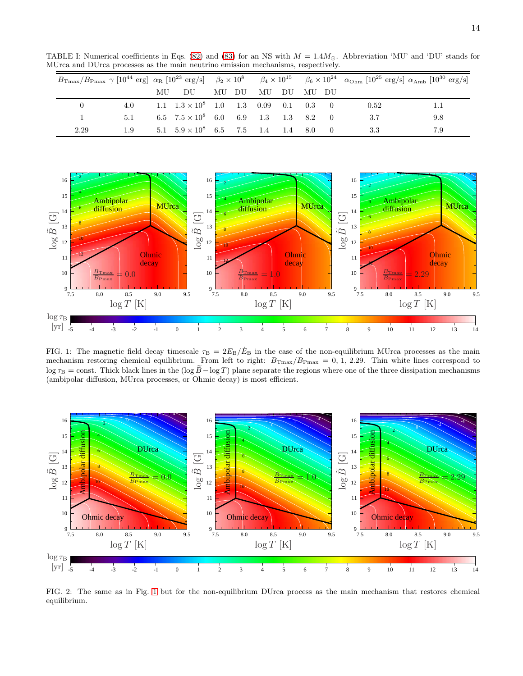TABLE I: Numerical coefficients in Eqs. [\(82\)](#page-12-5) and [\(83\)](#page-14-1) for an NS with  $M = 1.4 M_{\odot}$ . Abbreviation 'MU' and 'DU' stands for MUrca and DUrca processes as the main neutrino emission mechanisms, respectively.

<span id="page-13-0"></span>

|      | $B_{\text{Tmax}}/B_{\text{Pmax}} \gamma$ [10 <sup>44</sup> erg] $\alpha_R$ [10 <sup>23</sup> erg/s] $\beta_2 \times 10^8$ $\beta_4 \times 10^{15}$ $\beta_6 \times 10^{24}$ $\alpha_{\text{Ohm}}$ [10 <sup>25</sup> erg/s] $\alpha_{\text{Amb}}$ [10 <sup>30</sup> erg/s] |    |                                    |  |       |         |     |                   |  |      |     |
|------|---------------------------------------------------------------------------------------------------------------------------------------------------------------------------------------------------------------------------------------------------------------------------|----|------------------------------------|--|-------|---------|-----|-------------------|--|------|-----|
|      |                                                                                                                                                                                                                                                                           | MU | - DU                               |  | MU DU | MU      | DU  | – MU– DU          |  |      |     |
|      | 4.0                                                                                                                                                                                                                                                                       |    | 1.1 $1.3 \times 10^8$ 1.0 1.3 0.09 |  |       |         |     | $0.1 \t 0.3 \t 0$ |  | 0.52 |     |
|      | 5.1                                                                                                                                                                                                                                                                       |    | 6.5 $7.5 \times 10^8$ 6.0          |  |       | 6.9 1.3 | 1.3 | 8.2               |  |      | 9.8 |
| 2.29 |                                                                                                                                                                                                                                                                           |    | 5.1 $5.9 \times 10^8$ 6.5 7.5 1.4  |  |       |         | 1.4 | 8.0               |  |      | 7.9 |



<span id="page-13-1"></span>FIG. 1: The magnetic field decay timescale  $\tau_B = 2E_B/\dot{E}_B$  in the case of the non-equilibrium MUrca processes as the main mechanism restoring chemical equilibrium. From left to right:  $B_{\text{Tmax}}/B_{\text{Pmax}} = 0, 1, 2.29$ . Thin white lines correspond to log  $\tau_B = \text{const.}$  Thick black lines in the (log  $\tilde{B} - \log T$ ) plane separate the regions where one of the three dissipation mechanisms (ambipolar diffusion, MUrca processes, or Ohmic decay) is most efficient.



<span id="page-13-2"></span>FIG. 2: The same as in Fig. [1](#page-13-1) but for the non-equilibrium DUrca process as the main mechanism that restores chemical equilibrium.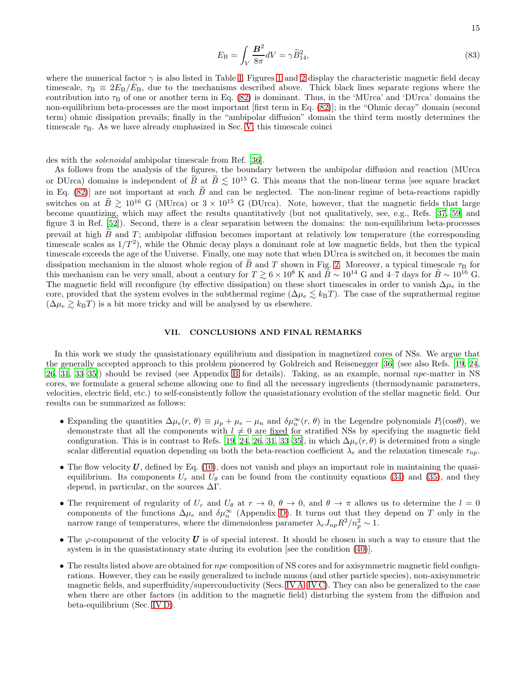<span id="page-14-1"></span>
$$
E_{\rm B} = \int_V \frac{\mathbf{B}^2}{8\pi} dV = \gamma \widetilde{B}_{14}^2,\tag{83}
$$

where the numerical factor  $\gamma$  is also listed in Table [I.](#page-13-0) Figures [1](#page-13-1) and [2](#page-13-2) display the characteristic magnetic field decay timescale,  $\tau_B \equiv 2E_B/E_B$ , due to the mechanisms described above. Thick black lines separate regions where the contribution into  $\tau_B$  of one or another term in Eq. [\(82\)](#page-12-5) is dominant. Thus, in the 'MUrca' and 'DUrca' domains the non-equilibrium beta-processes are the most important [first term in Eq. [\(82\)](#page-12-5)]; in the "Ohmic decay" domain (second term) ohmic dissipation prevails; finally in the "ambipolar diffusion" domain the third term mostly determines the timescale  $\tau_{\text{B}}$ . As we have already emphasized in Sec. [V,](#page-9-0) this timescale coinci

des with the solenoidal ambipolar timescale from Ref. [\[36\]](#page-20-14).

As follows from the analysis of the figures, the boundary between the ambipolar diffusion and reaction (MUrca or DUrca) domains is independent of  $\widetilde{B}$  at  $\widetilde{B} \leq 10^{15}$  G. This means that the non-linear terms [see square bracket in Eq. [\(82\)](#page-12-5)] are not important at such  $\tilde{B}$  and can be neglected. The non-linear regime of beta-reactions rapidly switches on at  $\widetilde{B} \ge 10^{16}$  G (MUrca) or  $3 \times 10^{15}$  G (DUrca). Note, however, that the magnetic fields that large become quantizing, which may affect the results quantitatively (but not qualitatively, see, e.g., Refs. [\[37,](#page-20-16) [59](#page-21-7)] and figure 3 in Ref. [\[52\]](#page-21-1)). Second, there is a clear separation between the domains: the non-equilibrium beta-processes prevail at high  $B$  and  $T$ ; ambipolar diffusion becomes important at relatively low temperature (the corresponding timescale scales as  $1/T<sup>2</sup>$ , while the Ohmic decay plays a dominant role at low magnetic fields, but then the typical timescale exceeds the age of the Universe. Finally, one may note that when DUrca is switched on, it becomes the main dissipation mechanism in the almost whole region of  $\ddot{B}$  and T shown in Fig. [2.](#page-13-2) Moreover, a typical timescale  $\tau_{\rm B}$  for this mechanism can be very small, about a century for  $T \gtrsim 6 \times 10^8$  K and  $\overline{B} \sim 10^{14}$  G and 4–7 days for  $\overline{B} \sim 10^{16}$  G. The magnetic field will reconfigure (by effective dissipation) on these short timescales in order to vanish  $\Delta\mu_e$  in the core, provided that the system evolves in the subthermal regime ( $\Delta \mu_e \lesssim k_BT$ ). The case of the suprathermal regime  $(\Delta \mu_e \gtrsim k_BT)$  is a bit more tricky and will be analysed by us elsewhere.

## <span id="page-14-0"></span>VII. CONCLUSIONS AND FINAL REMARKS

In this work we study the quasistationary equilibrium and dissipation in magnetized cores of NSs. We argue that the generally accepted approach to this problem pioneered by Goldreich and Reisenegger [\[36](#page-20-14)] (see also Refs. [\[19](#page-20-10), [24](#page-20-11), [26,](#page-20-12) [31,](#page-20-9) [33](#page-20-15)[–35\]](#page-20-13)) should be revised (see Appendix [B](#page-16-0) for details). Taking, as an example, normal npe-matter in NS cores, we formulate a general scheme allowing one to find all the necessary ingredients (thermodynamic parameters, velocities, electric field, etc.) to self-consistently follow the quasistationary evolution of the stellar magnetic field. Our results can be summarized as follows:

- Expanding the quantities  $\Delta \mu_e(r, \theta) \equiv \mu_p + \mu_e \mu_n$  and  $\delta \mu_n^{\infty}(r, \theta)$  in the Legendre polynomials  $P_l(\cos \theta)$ , we demonstrate that all the components with  $l \neq 0$  are fixed for stratified NSs by specifying the magnetic field configuration. This is in contrast to Refs. [\[19,](#page-20-10) [24,](#page-20-11) [26](#page-20-12), [31](#page-20-9), [33](#page-20-15)[–35](#page-20-13)], in which  $\Delta \mu_e(r,\theta)$  is determined from a single scalar differential equation depending on both the beta-reaction coefficient  $\lambda_e$  and the relaxation timescale  $\tau_{np}$ .
- The flow velocity  $U$ , defined by Eq. [\(10\)](#page-1-9), does not vanish and plays an important role in maintaining the quasiequilibrium. Its components  $U_r$  and  $U_\theta$  can be found from the continuity equations [\(34\)](#page-5-7) and [\(35\)](#page-5-8), and they depend, in particular, on the sources  $\Delta\Gamma$ .
- The requirement of regularity of  $U_r$  and  $U_\theta$  at  $r \to 0$ ,  $\theta \to 0$ , and  $\theta \to \pi$  allows us to determine the  $l = 0$ components of the functions  $\Delta\mu_e$  and  $\delta\mu_n^{\infty}$  (Appendix [D\)](#page-17-0). It turns out that they depend on T only in the narrow range of temperatures, where the dimensionless parameter  $\lambda_e J_{np} R^2 / n_p^2 \sim 1$ .
- The  $\varphi$ -component of the velocity U is of special interest. It should be chosen in such a way to ensure that the system is in the quasistationary state during its evolution [see the condition [\(40\)](#page-6-2)].
- The results listed above are obtained for npe composition of NS cores and for axisymmetric magnetic field configurations. However, they can be easily generalized to include muons (and other particle species), non-axisymmetric magnetic fields, and superfluidity/superconductivity (Secs. [IV A](#page-6-6)[–IV C\)](#page-7-4). They can also be generalized to the case when there are other factors (in addition to the magnetic field) disturbing the system from the diffusion and beta-equilibrium (Sec. [IV D\)](#page-8-6).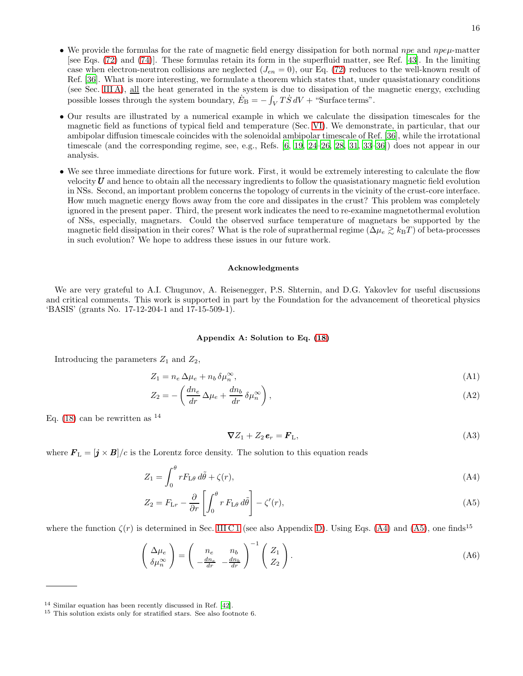- We provide the formulas for the rate of magnetic field energy dissipation for both normal  $npe$  and  $npe\mu$ -matter [see Eqs. [\(72\)](#page-10-4) and [\(74\)](#page-11-1)]. These formulas retain its form in the superfluid matter, see Ref. [\[43\]](#page-20-22). In the limiting case when electron-neutron collisions are neglected  $(J_{en} = 0)$ , our Eq. [\(72\)](#page-10-4) reduces to the well-known result of Ref. [\[36](#page-20-14)]. What is more interesting, we formulate a theorem which states that, under quasistationary conditions (see Sec. [III A\)](#page-2-3), all the heat generated in the system is due to dissipation of the magnetic energy, excluding possible losses through the system boundary,  $\dot{E}_{\rm B} = -\int_V T \dot{S} dV +$  "Surface terms".
- Our results are illustrated by a numerical example in which we calculate the dissipation timescales for the magnetic field as functions of typical field and temperature (Sec. [VI\)](#page-11-0). We demonstrate, in particular, that our ambipolar diffusion timescale coincides with the solenoidal ambipolar timescale of Ref. [\[36](#page-20-14)], while the irrotational timescale (and the corresponding regime, see, e.g., Refs. [\[6](#page-20-7), [19,](#page-20-10) [24](#page-20-11)[–26](#page-20-12), [28,](#page-20-28) [31](#page-20-9), [33](#page-20-15)[–36\]](#page-20-14)) does not appear in our analysis.
- We see three immediate directions for future work. First, it would be extremely interesting to calculate the flow velocity  $U$  and hence to obtain all the necessary ingredients to follow the quasistationary magnetic field evolution in NSs. Second, an important problem concerns the topology of currents in the vicinity of the crust-core interface. How much magnetic energy flows away from the core and dissipates in the crust? This problem was completely ignored in the present paper. Third, the present work indicates the need to re-examine magnetothermal evolution of NSs, especially, magnetars. Could the observed surface temperature of magnetars be supported by the magnetic field dissipation in their cores? What is the role of suprathermal regime ( $\Delta \mu_e \gtrsim k_BT$ ) of beta-processes in such evolution? We hope to address these issues in our future work.

#### Acknowledgments

We are very grateful to A.I. Chugunov, A. Reisenegger, P.S. Shternin, and D.G. Yakovlev for useful discussions and critical comments. This work is supported in part by the Foundation for the advancement of theoretical physics 'BASIS' (grants No. 17-12-204-1 and 17-15-509-1).

## <span id="page-15-0"></span>Appendix A: Solution to Eq. [\(18\)](#page-3-2)

Introducing the parameters  $Z_1$  and  $Z_2$ ,

$$
Z_1 = n_e \,\Delta \mu_e + n_b \,\delta \mu_n^{\infty},\tag{A1}
$$

$$
Z_2 = -\left(\frac{dn_e}{dr}\Delta\mu_e + \frac{dn_b}{dr}\delta\mu_n^{\infty}\right),\tag{A2}
$$

Eq. [\(18\)](#page-3-2) can be rewritten as  $^{14}$ 

<span id="page-15-3"></span><span id="page-15-2"></span><span id="page-15-1"></span>
$$
\nabla Z_1 + Z_2 \mathbf{e}_r = \mathbf{F}_L, \tag{A3}
$$

where  $\mathbf{F}_{\text{L}} = [\mathbf{j} \times \mathbf{B}]/c$  is the Lorentz force density. The solution to this equation reads

$$
Z_1 = \int_0^\theta r F_{\mathcal{L}\theta} \, d\tilde{\theta} + \zeta(r), \tag{A4}
$$

$$
Z_2 = F_{\rm Lr} - \frac{\partial}{\partial r} \left[ \int_0^{\theta} r \, F_{\rm L\theta} \, d\tilde{\theta} \right] - \zeta'(r), \tag{A5}
$$

where the function  $\zeta(r)$  is determined in Sec. [III C 1](#page-5-0) (see also Appendix [D\)](#page-17-0). Using Eqs. [\(A4\)](#page-15-2) and [\(A5\)](#page-15-3), one finds<sup>15</sup>

$$
\begin{pmatrix}\n\Delta \mu_e \\
\delta \mu_n^{\infty}\n\end{pmatrix} = \begin{pmatrix}\n n_e & n_b \\
-\frac{dn_e}{dr} & -\frac{dn_b}{dr}\n\end{pmatrix}^{-1} \begin{pmatrix}\nZ_1 \\
Z_2\n\end{pmatrix}.
$$
\n(A6)

<sup>14</sup> Similar equation has been recently discussed in Ref. [\[42\]](#page-20-21).

<sup>15</sup> This solution exists only for stratified stars. See also footnote 6.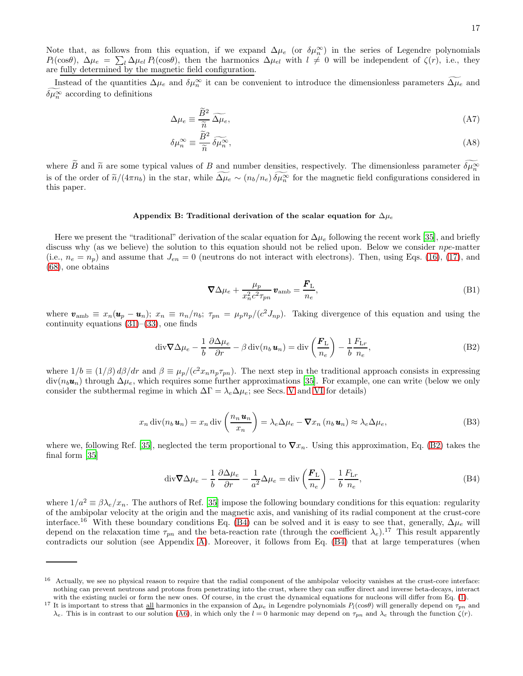Instead of the quantities  $\Delta\mu_e$  and  $\delta\mu_n^{\infty}$  it can be convenient to introduce the dimensionless parameters  $\Delta\mu_e$  and  $\delta\mu_n^{\infty}$  according to definitions

<span id="page-16-1"></span>
$$
\Delta \mu_e \equiv \frac{\widetilde{B}^2}{\widetilde{n}} \widetilde{\Delta \mu}_e,\tag{A7}
$$

<span id="page-16-2"></span>
$$
\delta\mu_n^{\infty} \equiv \frac{\dot{B}^2}{\tilde{n}} \,\tilde{\delta\mu}_n^{\infty},\tag{A8}
$$

where  $\widetilde{B}$  and  $\widetilde{n}$  are some typical values of B and number densities, respectively. The dimensionless parameter  $\delta\mu_{n}^{\infty}$ is of the order of  $\tilde{n}/(4\pi n_b)$  in the star, while  $\widetilde{\Delta\mu_e} \sim (n_b/n_e) \delta\mu_{\tilde{n}}^{\infty}$  for the magnetic field configurations considered in this paper.

### <span id="page-16-0"></span>Appendix B: Traditional derivation of the scalar equation for  $\Delta \mu_e$

Here we present the "traditional" derivation of the scalar equation for  $\Delta\mu_e$  following the recent work [\[35\]](#page-20-13), and briefly discuss why (as we believe) the solution to this equation should not be relied upon. Below we consider npe-matter (i.e.,  $n_e = n_p$ ) and assume that  $J_{en} = 0$  (neutrons do not interact with electrons). Then, using Eqs. [\(16\)](#page-3-1), [\(17\)](#page-3-6), and [\(68\)](#page-10-1), one obtains

<span id="page-16-6"></span><span id="page-16-5"></span><span id="page-16-3"></span>
$$
\nabla \Delta \mu_e + \frac{\mu_p}{x_n^2 c^2 \tau_{pn}} \mathbf{v}_{\rm amb} = \frac{\mathbf{F}_{\rm L}}{n_e},\tag{B1}
$$

where  $\mathbf{v}_{\rm amb} \equiv x_n(\mathbf{u}_p - \mathbf{u}_n); x_n \equiv n_n/n_b; \tau_{pn} = \mu_p n_p/(c^2 J_{np}).$  Taking divergence of this equation and using the continuity equations  $(31)$ – $(33)$ , one finds

$$
\operatorname{div} \nabla \Delta \mu_e - \frac{1}{b} \frac{\partial \Delta \mu_e}{\partial r} - \beta \operatorname{div}(n_b \mathbf{u}_n) = \operatorname{div} \left( \frac{\mathbf{F}_{\rm L}}{n_e} \right) - \frac{1}{b} \frac{F_{\rm Lr}}{n_e},\tag{B2}
$$

where  $1/b \equiv (1/\beta) d\beta/dr$  and  $\beta \equiv \mu_p/(c^2 x_n n_p \tau_{pn})$ . The next step in the traditional approach consists in expressing  $div(n_bu_n)$  through  $\Delta\mu_e$ , which requires some further approximations [\[35](#page-20-13)]. For example, one can write (below we only consider the subthermal regime in which  $\Delta \Gamma = \lambda_e \Delta \mu_e$ ; see Secs. [V](#page-9-0) and [VI](#page-11-0) for details)

$$
x_n \operatorname{div}(n_b \mathbf{u}_n) = x_n \operatorname{div}\left(\frac{n_n \mathbf{u}_n}{x_n}\right) = \lambda_e \Delta \mu_e - \nabla x_n \left(n_b \mathbf{u}_n\right) \approx \lambda_e \Delta \mu_e,
$$
\n(B3)

where we, following Ref. [\[35\]](#page-20-13), neglected the term proportional to  $\nabla x_n$ . Using this approximation, Eq. [\(B2\)](#page-16-3) takes the final form [\[35\]](#page-20-13)

<span id="page-16-4"></span>
$$
\operatorname{div} \nabla \Delta \mu_e - \frac{1}{b} \frac{\partial \Delta \mu_e}{\partial r} - \frac{1}{a^2} \Delta \mu_e = \operatorname{div} \left( \frac{F_L}{n_e} \right) - \frac{1}{b} \frac{F_{Lr}}{n_e},\tag{B4}
$$

where  $1/a^2 \equiv \beta \lambda_e / x_n$ . The authors of Ref. [\[35\]](#page-20-13) impose the following boundary conditions for this equation: regularity of the ambipolar velocity at the origin and the magnetic axis, and vanishing of its radial component at the crust-core interface.<sup>16</sup> With these boundary conditions Eq. [\(B4\)](#page-16-4) can be solved and it is easy to see that, generally,  $\Delta\mu_e$  will depend on the relaxation time  $\tau_{pn}$  and the beta-reaction rate (through the coefficient  $\lambda_e$ ).<sup>17</sup> This result apparently contradicts our solution (see Appendix [A\)](#page-15-0). Moreover, it follows from Eq. [\(B4\)](#page-16-4) that at large temperatures (when

<sup>&</sup>lt;sup>16</sup> Actually, we see no physical reason to require that the radial component of the ambipolar velocity vanishes at the crust-core interface: nothing can prevent neutrons and protons from penetrating into the crust, where they can suffer direct and inverse beta-decays, interact with the existing nuclei or form the new ones. Of course, in the crust the dynamical equations for nucleons will differ from Eq. [\(1\)](#page-1-0).

<sup>&</sup>lt;sup>17</sup> It is important to stress that <u>all</u> harmonics in the expansion of  $\Delta\mu_e$  in Legendre polynomials  $P_l(\cos\theta)$  will generally depend on  $\tau_{pn}$  and  $\lambda_e$ . This is in contrast to our solution [\(A6\)](#page-15-1), in which only the  $l = 0$  harmonic may depend on  $\tau_{pn}$  and  $\lambda_e$  through the function  $\zeta(r)$ .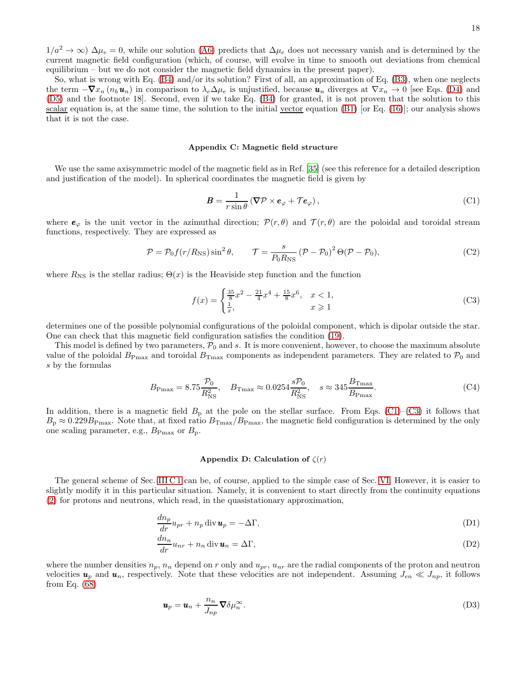$1/a^2 \to \infty$ )  $\Delta \mu_e = 0$ , while our solution [\(A6\)](#page-15-1) predicts that  $\Delta \mu_e$  does not necessary vanish and is determined by the current magnetic field configuration (which, of course, will evolve in time to smooth out deviations from chemical equilibrium – but we do not consider the magnetic field dynamics in the present paper).

So, what is wrong with Eq. [\(B4\)](#page-16-4) and/or its solution? First of all, an approximation of Eq. [\(B3\)](#page-16-5), when one neglects the term  $-\nabla x_n (n_b \mathbf{u}_n)$  in comparison to  $\lambda_e \Delta \mu_e$  is unjustified, because  $\mathbf{u}_n$  diverges at  $\nabla x_n \to 0$  [see Eqs. [\(D4\)](#page-18-0) and [\(D5\)](#page-18-1) and the footnote 18]. Second, even if we take Eq. [\(B4\)](#page-16-4) for granted, it is not proven that the solution to this scalar equation is, at the same time, the solution to the initial vector equation  $(B1)$  [or Eq. [\(16\)](#page-3-1)]; our analysis shows that it is not the case.

#### <span id="page-17-1"></span>Appendix C: Magnetic field structure

We use the same axisymmetric model of the magnetic field as in Ref. [\[35\]](#page-20-13) (see this reference for a detailed description and justification of the model). In spherical coordinates the magnetic field is given by

<span id="page-17-2"></span>
$$
B = \frac{1}{r \sin \theta} (\nabla \mathcal{P} \times \boldsymbol{e}_{\varphi} + \mathcal{T} \boldsymbol{e}_{\varphi}), \tag{C1}
$$

where  $e_{\varphi}$  is the unit vector in the azimuthal direction;  $\mathcal{P}(r,\theta)$  and  $\mathcal{T}(r,\theta)$  are the poloidal and toroidal stream functions, respectively. They are expressed as

$$
\mathcal{P} = \mathcal{P}_0 f(r/R_{\rm NS}) \sin^2 \theta, \qquad \mathcal{T} = \frac{s}{P_0 R_{\rm NS}} (\mathcal{P} - \mathcal{P}_0)^2 \Theta (\mathcal{P} - \mathcal{P}_0), \tag{C2}
$$

where  $R_{\text{NS}}$  is the stellar radius;  $\Theta(x)$  is the Heaviside step function and the function

<span id="page-17-3"></span>
$$
f(x) = \begin{cases} \frac{35}{8}x^2 - \frac{21}{4}x^4 + \frac{15}{8}x^6, & x < 1, \\ \frac{1}{x}, & x \ge 1 \end{cases}
$$
 (C3)

determines one of the possible polynomial configurations of the poloidal component, which is dipolar outside the star. One can check that this magnetic field configuration satisfies the condition [\(19\)](#page-3-4).

This model is defined by two parameters,  $P_0$  and s. It is more convenient, however, to choose the maximum absolute value of the poloidal  $B_{\rm Pmax}$  and toroidal  $B_{\rm Tmax}$  components as independent parameters. They are related to  $\mathcal{P}_0$  and s by the formulas

$$
B_{\rm Pmax} = 8.75 \frac{\mathcal{P}_0}{R_{\rm NS}^2}
$$
,  $B_{\rm Tmax} \approx 0.0254 \frac{s \mathcal{P}_0}{R_{\rm NS}^2}$ ,  $s \approx 345 \frac{B_{\rm Tmax}}{B_{\rm Pmax}}$ . (C4)

In addition, there is a magnetic field  $B<sub>p</sub>$  at the pole on the stellar surface. From Eqs. [\(C1\)](#page-17-2)–[\(C3\)](#page-17-3) it follows that  $B_{\rm p} \approx 0.229 B_{\rm Pmax}$ . Note that, at fixed ratio  $B_{\rm Tmax}/B_{\rm Pmax}$ , the magnetic field configuration is determined by the only one scaling parameter, e.g.,  $B_{\text{Pmax}}$  or  $B_{\text{p}}$ .

#### <span id="page-17-4"></span><span id="page-17-0"></span>Appendix D: Calculation of  $\zeta(r)$

The general scheme of Sec. [III C 1](#page-5-0) can be, of course, applied to the simple case of Sec. [VI.](#page-11-0) However, it is easier to slightly modify it in this particular situation. Namely, it is convenient to start directly from the continuity equations [\(2\)](#page-1-2) for protons and neutrons, which read, in the quasistationary approximation,

$$
\frac{dn_p}{dr}u_{pr} + n_p \operatorname{div} \mathbf{u}_p = -\Delta \Gamma,
$$
\n(D1)

$$
\frac{dn_n}{dr}u_{nr} + n_n \operatorname{div} \mathbf{u}_n = \Delta \Gamma,
$$
\n(D2)

where the number densities  $n_p$ ,  $n_n$  depend on r only and  $u_{pr}$ ,  $u_{nr}$  are the radial components of the proton and neutron velocities  $u_p$  and  $u_n$ , respectively. Note that these velocities are not independent. Assuming  $J_{en} \ll J_{np}$ , it follows from Eq. [\(68\)](#page-10-1)

$$
\mathbf{u}_p = \mathbf{u}_n + \frac{n_n}{J_{np}} \nabla \delta \mu_n^{\infty}.
$$
 (D3)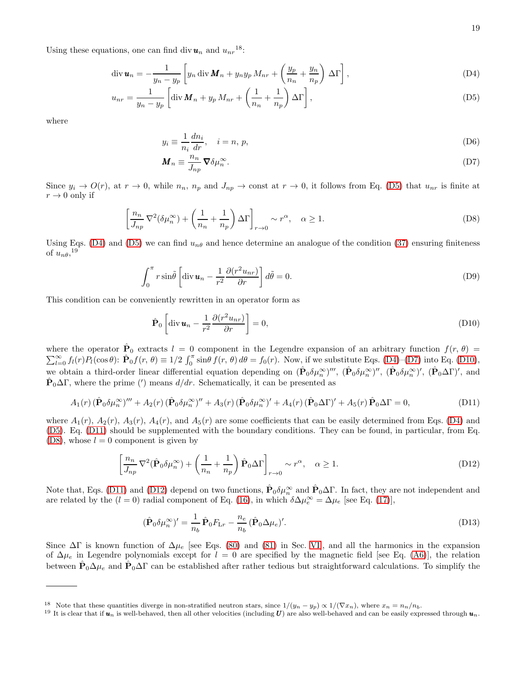Using these equations, one can find div  $u_n$  and  $u_{nr}^{18}$ :

$$
\operatorname{div} \boldsymbol{u}_n = -\frac{1}{y_n - y_p} \left[ y_n \operatorname{div} \boldsymbol{M}_n + y_n y_p M_{nr} + \left( \frac{y_p}{n_n} + \frac{y_n}{n_p} \right) \Delta \Gamma \right],\tag{D4}
$$

$$
u_{nr} = \frac{1}{y_n - y_p} \left[ \text{div} \, \mathbf{M}_n + y_p \, M_{nr} + \left( \frac{1}{n_n} + \frac{1}{n_p} \right) \Delta \Gamma \right],\tag{D5}
$$

where

<span id="page-18-1"></span><span id="page-18-0"></span>
$$
y_i \equiv \frac{1}{n_i} \frac{dn_i}{dr}, \quad i = n, p,
$$
\n(D6)

<span id="page-18-5"></span><span id="page-18-2"></span>
$$
\mathbf{M}_n \equiv \frac{n_n}{J_{np}} \nabla \delta \mu_n^{\infty}.
$$
 (D7)

Since  $y_i \to O(r)$ , at  $r \to 0$ , while  $n_n$ ,  $n_p$  and  $J_{np} \to \text{const}$  at  $r \to 0$ , it follows from Eq. [\(D5\)](#page-18-1) that  $u_{nr}$  is finite at  $r \rightarrow 0$  only if

$$
\left[\frac{n_n}{J_{np}}\nabla^2(\delta\mu_n^{\infty}) + \left(\frac{1}{n_n} + \frac{1}{n_p}\right)\Delta\Gamma\right]_{r \to 0} \sim r^{\alpha}, \quad \alpha \ge 1.
$$
 (D8)

Using Eqs. [\(D4\)](#page-18-0) and [\(D5\)](#page-18-1) we can find  $u_{n\theta}$  and hence determine an analogue of the condition [\(37\)](#page-5-4) ensuring finiteness of  $u_{n\theta}$ ,<sup>19</sup>

$$
\int_0^{\pi} r \sin\tilde{\theta} \left[ \operatorname{div} \boldsymbol{u}_n - \frac{1}{r^2} \frac{\partial (r^2 u_{nr})}{\partial r} \right] d\tilde{\theta} = 0.
$$
 (D9)

This condition can be conveniently rewritten in an operator form as

<span id="page-18-4"></span><span id="page-18-3"></span>
$$
\hat{\mathbf{P}}_0 \left[ \operatorname{div} \boldsymbol{u}_n - \frac{1}{r^2} \frac{\partial (r^2 u_{nr})}{\partial r} \right] = 0,
$$
\n(D10)

where the operator  $\hat{\mathbf{P}}_0$  extracts  $l = 0$  component in the Legendre expansion of an arbitrary function  $f(r, \theta)$  $\sum_{l=0}^{\infty} f_l(r) P_l(\cos \theta)$ :  $\hat{\mathbf{P}}_0 f(r, \theta) \equiv 1/2 \int_0^{\pi} \sin \theta f(r, \theta) d\theta = f_0(r)$ . Now, if we substitute Eqs. [\(D4\)](#page-18-0)–[\(D7\)](#page-18-2) into Eq. [\(D10\)](#page-18-3), we obtain a third-order linear differential equation depending on  $(\hat{P}_0 \delta \mu_n^{\infty})''$ ,  $(\hat{P}_0 \delta \mu_n^{\infty})''$ ,  $(\hat{P}_0 \delta \mu_n^{\infty})'$ ,  $(\hat{P}_0 \Delta \Gamma)'$ , and  $\hat{\mathbf{P}}_0 \Delta \Gamma$ , where the prime (') means  $d/dr$ . Schematically, it can be presented as

$$
A_1(r)\left(\hat{\mathbf{P}}_0\delta\mu_n^{\infty}\right)^{\prime\prime\prime} + A_2(r)\left(\hat{\mathbf{P}}_0\delta\mu_n^{\infty}\right)^{\prime\prime} + A_3(r)\left(\hat{\mathbf{P}}_0\delta\mu_n^{\infty}\right)^{\prime} + A_4(r)\left(\hat{\mathbf{P}}_0\Delta\Gamma\right)^{\prime} + A_5(r)\hat{\mathbf{P}}_0\Delta\Gamma = 0,
$$
\n(D11)

where  $A_1(r)$ ,  $A_2(r)$ ,  $A_3(r)$ ,  $A_4(r)$ , and  $A_5(r)$  are some coefficients that can be easily determined from Eqs. [\(D4\)](#page-18-0) and [\(D5\)](#page-18-1). Eq. [\(D11\)](#page-18-4) should be supplemented with the boundary conditions. They can be found, in particular, from Eq.  $(D8)$ , whose  $l = 0$  component is given by

$$
\left[\frac{n_n}{J_{np}}\nabla^2(\hat{\mathbf{P}}_0\delta\mu_n^{\infty}) + \left(\frac{1}{n_n} + \frac{1}{n_p}\right)\hat{\mathbf{P}}_0\Delta\Gamma\right]_{r \to 0} \sim r^{\alpha}, \quad \alpha \ge 1.
$$
\n(D12)

Note that, Eqs. [\(D11\)](#page-18-4) and [\(D12\)](#page-18-6) depend on two functions,  $\hat{\mathbf{P}}_0 \delta \mu_n^{\infty}$  and  $\hat{\mathbf{P}}_0 \Delta \Gamma$ . In fact, they are not independent and are related by the  $(l = 0)$  radial component of Eq. [\(16\)](#page-3-1), in which  $\delta \Delta \mu_e^{\infty} = \Delta \mu_e$  [see Eq. [\(17\)](#page-3-6)],

<span id="page-18-7"></span><span id="page-18-6"></span>
$$
(\hat{\mathbf{P}}_0 \delta \mu_n^{\infty})' = \frac{1}{n_b} \hat{\mathbf{P}}_0 F_{\mathrm{L}r} - \frac{n_e}{n_b} (\hat{\mathbf{P}}_0 \Delta \mu_e)'. \tag{D13}
$$

Since  $\Delta\Gamma$  is known function of  $\Delta\mu_e$  [see Eqs. [\(80\)](#page-12-1) and [\(81\)](#page-12-2) in Sec. [VI\]](#page-11-0), and all the harmonics in the expansion of  $\Delta\mu_e$  in Legendre polynomials except for  $l = 0$  are specified by the magnetic field [see Eq. [\(A6\)](#page-15-1)], the relation between  $\hat{P}_0 \Delta \mu_e$  and  $\hat{P}_0 \Delta \Gamma$  can be established after rather tedious but straightforward calculations. To simplify the

<sup>&</sup>lt;sup>18</sup> Note that these quantities diverge in non-stratified neutron stars, since  $1/(y_n - y_p) \propto 1/(\nabla x_n)$ , where  $x_n = n_n/n_b$ .

<sup>&</sup>lt;sup>19</sup> It is clear that if  $u_n$  is well-behaved, then all other velocities (including  $U$ ) are also well-behaved and can be easily expressed through  $u_n$ .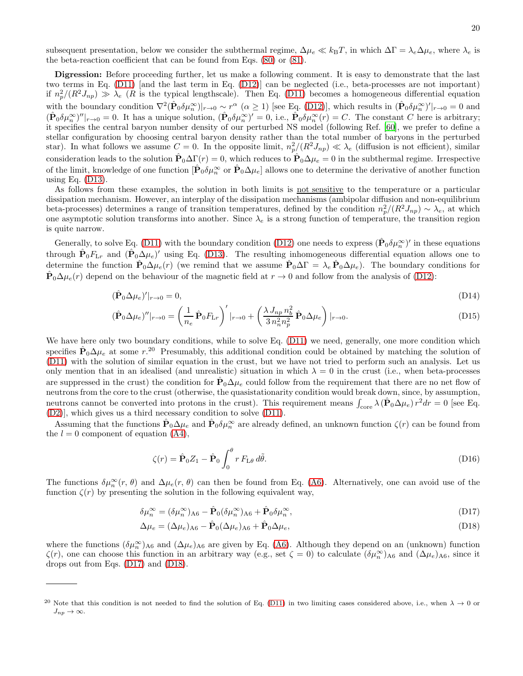subsequent presentation, below we consider the subthermal regime,  $\Delta \mu_e \ll k_B T$ , in which  $\Delta \Gamma = \lambda_e \Delta \mu_e$ , where  $\lambda_e$  is the beta-reaction coefficient that can be found from Eqs. [\(80\)](#page-12-1) or [\(81\)](#page-12-2).

Digression: Before proceeding further, let us make a following comment. It is easy to demonstrate that the last two terms in Eq. [\(D11\)](#page-18-4) [and the last term in Eq. [\(D12\)](#page-18-6)] can be neglected (i.e., beta-processes are not important) if  $n_p^2/(R^2J_{np}) \gg \lambda_e$  (R is the typical lengthscale). Then Eq. [\(D11\)](#page-18-4) becomes a homogeneous differential equation with the boundary condition  $\nabla^2 (\hat{\mathbf{P}}_0 \delta \mu_n^{\infty})|_{r\to 0} \sim r^{\alpha}$  ( $\alpha \ge 1$ ) [see Eq. [\(D12\)](#page-18-6)], which results in  $(\hat{\mathbf{P}}_0 \delta \mu_n^{\infty})'|_{r\to 0} = 0$  and  $(\hat{\mathbf{P}}_0 \delta \mu_n^{\infty})''|_{r\to 0} = 0$ . It has a unique solution,  $(\hat{\mathbf{P}}_0 \delta \mu_n^{\infty})' = 0$ , i.e.,  $\hat{\mathbf{P}}_0 \delta \mu_n^{\infty}(r) = C$ . The constant C here is arbitrary; it specifies the central baryon number density of our perturbed NS model (following Ref. [\[60](#page-21-8)], we prefer to define a stellar configuration by choosing central baryon density rather than the total number of baryons in the perturbed star). In what follows we assume  $C=0$ . In the opposite limit,  $n_p^2/(R^2J_{np}) \ll \lambda_e$  (diffusion is not efficient), similar consideration leads to the solution  $\hat{\mathbf{P}}_0 \Delta \Gamma(r) = 0$ , which reduces to  $\hat{\mathbf{P}}_0 \Delta \mu_e = 0$  in the subthermal regime. Irrespective of the limit, knowledge of one function  $[\hat{\mathbf{P}}_0 \delta \mu_n^{\infty}$  or  $\hat{\mathbf{P}}_0 \Delta \mu_e]$  allows one to determine the derivative of another function using Eq.  $(D13)$ .

As follows from these examples, the solution in both limits is not sensitive to the temperature or a particular dissipation mechanism. However, an interplay of the dissipation mechanisms (ambipolar diffusion and non-equilibrium beta-processes) determines a range of transition temperatures, defined by the condition  $n_p^2/(R^2J_{np}) \sim \lambda_e$ , at which one asymptotic solution transforms into another. Since  $\lambda_e$  is a strong function of temperature, the transition region is quite narrow.

Generally, to solve Eq. [\(D11\)](#page-18-4) with the boundary condition [\(D12\)](#page-18-6) one needs to express  $(\hat{\mathbf{P}}_0 \delta \mu_n^{\infty})'$  in these equations through  $\hat{P}_0F_{Lr}$  and  $(\hat{P}_0\Delta\mu_e)'$  using Eq. [\(D13\)](#page-18-7). The resulting inhomogeneous differential equation allows one to determine the function  $\hat{\mathbf{P}}_0 \Delta \mu_e(r)$  (we remind that we assume  $\hat{\mathbf{P}}_0 \Delta \Gamma = \lambda_e \hat{\mathbf{P}}_0 \Delta \mu_e$ ). The boundary conditions for  $\hat{\mathbf{P}}_0 \Delta \mu_e(r)$  depend on the behaviour of the magnetic field at  $r \to 0$  and follow from the analysis of [\(D12\)](#page-18-6):

$$
(\hat{\mathbf{P}}_0 \Delta \mu_e)'|_{r \to 0} = 0,\tag{D14}
$$

$$
(\hat{\mathbf{P}}_0 \Delta \mu_e)''|_{r \to 0} = \left(\frac{1}{n_e} \hat{\mathbf{P}}_0 F_{\rm Lr}\right)'|_{r \to 0} + \left(\frac{\lambda J_{np} n_b^2}{3 n_n^2 n_p^2} \hat{\mathbf{P}}_0 \Delta \mu_e\right)|_{r \to 0}.
$$
\n(D15)

We have here only two boundary conditions, while to solve Eq. [\(D11\)](#page-18-4) we need, generally, one more condition which specifies  $\hat{P}_0 \Delta \mu_e$  at some r.<sup>20</sup> Presumably, this additional condition could be obtained by matching the solution of [\(D11\)](#page-18-4) with the solution of similar equation in the crust, but we have not tried to perform such an analysis. Let us only mention that in an idealised (and unrealistic) situation in which  $\lambda = 0$  in the crust (i.e., when beta-processes are suppressed in the crust) the condition for  $\hat{P}_0 \Delta \mu_e$  could follow from the requirement that there are no net flow of neutrons from the core to the crust (otherwise, the quasistationarity condition would break down, since, by assumption, neutrons cannot be converted into protons in the crust). This requirement means  $\int_{\text{core}} \lambda (\hat{\mathbf{P}}_0 \Delta \mu_e) r^2 dr = 0$  [see Eq. [\(D2\)](#page-17-4)], which gives us a third necessary condition to solve [\(D11\)](#page-18-4).

Assuming that the functions  $\hat{\mathbf{P}}_0 \Delta \mu_e$  and  $\hat{\mathbf{P}}_0 \delta \mu_n^{\infty}$  are already defined, an unknown function  $\zeta(r)$  can be found from the  $l = 0$  component of equation  $(A4)$ ,

<span id="page-19-1"></span><span id="page-19-0"></span>
$$
\zeta(r) = \hat{\mathbf{P}}_0 Z_1 - \hat{\mathbf{P}}_0 \int_0^{\theta} r F_{\text{L}\theta} d\tilde{\theta}.
$$
\n(D16)

The functions  $\delta\mu_n^{\infty}(r, \theta)$  and  $\Delta\mu_e(r, \theta)$  can then be found from Eq. [\(A6\)](#page-15-1). Alternatively, one can avoid use of the function  $\zeta(r)$  by presenting the solution in the following equivalent way,

$$
\delta\mu_n^{\infty} = (\delta\mu_n^{\infty})_{A6} - \hat{\mathbf{P}}_0(\delta\mu_n^{\infty})_{A6} + \hat{\mathbf{P}}_0\delta\mu_n^{\infty},\tag{D17}
$$

$$
\Delta \mu_e = (\Delta \mu_e)_{A6} - \hat{\mathbf{P}}_0 (\Delta \mu_e)_{A6} + \hat{\mathbf{P}}_0 \Delta \mu_e, \tag{D18}
$$

where the functions  $(\delta \mu_n^{\infty})_{A6}$  and  $(\Delta \mu_e)_{A6}$  are given by Eq. [\(A6\)](#page-15-1). Although they depend on an (unknown) function  $\zeta(r)$ , one can choose this function in an arbitrary way (e.g., set  $\zeta = 0$ ) to calculate  $(\delta \mu_n^{\infty})_{A6}$  and  $(\Delta \mu_e)_{A6}$ , since it drops out from Eqs. [\(D17\)](#page-19-0) and [\(D18\)](#page-19-1).

<sup>&</sup>lt;sup>20</sup> Note that this condition is not needed to find the solution of Eq. [\(D11\)](#page-18-4) in two limiting cases considered above, i.e., when  $\lambda \to 0$  or  $J_{np} \to \infty$ .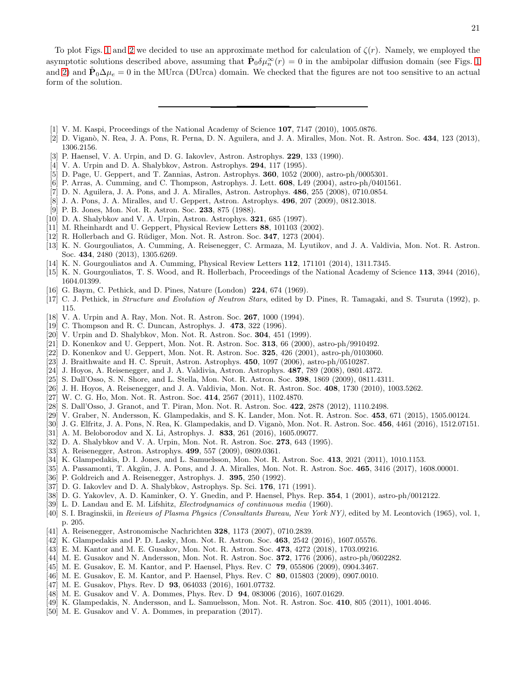To plot Figs. [1](#page-13-1) and [2](#page-13-2) we decided to use an approximate method for calculation of  $\zeta(r)$ . Namely, we employed the asymptotic solutions described above, assuming that  $\hat{\mathbf{P}}_0 \delta \mu_n^{\infty}(r) = 0$  in the ambipolar diffusion domain (see Figs. [1](#page-13-1)) and [2\)](#page-13-2) and  $\hat{\mathbf{P}}_0 \Delta \mu_e = 0$  in the MUrca (DUrca) domain. We checked that the figures are not too sensitive to an actual form of the solution.

- <span id="page-20-0"></span>[1] V. M. Kaspi, Proceedings of the National Academy of Science 107, 7147 (2010), 1005.0876.
- <span id="page-20-1"></span>[2] D. Viganò, N. Rea, J. A. Pons, R. Perna, D. N. Aguilera, and J. A. Miralles, Mon. Not. R. Astron. Soc. 434, 123 (2013), 1306.2156.
- <span id="page-20-5"></span>[3] P. Haensel, V. A. Urpin, and D. G. Iakovlev, Astron. Astrophys. 229, 133 (1990).
- <span id="page-20-6"></span>[4] V. A. Urpin and D. A. Shalybkov, Astron. Astrophys. 294, 117 (1995).
- [5] D. Page, U. Geppert, and T. Zannias, Astron. Astrophys. 360, 1052 (2000), astro-ph/0005301.
- <span id="page-20-7"></span>[6] P. Arras, A. Cumming, and C. Thompson, Astrophys. J. Lett. 608, L49 (2004), astro-ph/0401561.
- [7] D. N. Aguilera, J. A. Pons, and J. A. Miralles, Astron. Astrophys. 486, 255 (2008), 0710.0854.
- <span id="page-20-2"></span>[8] J. A. Pons, J. A. Miralles, and U. Geppert, Astron. Astrophys. 496, 207 (2009), 0812.3018.
- <span id="page-20-3"></span>[9] P. B. Jones, Mon. Not. R. Astron. Soc. 233, 875 (1988).
- [10] D. A. Shalybkov and V. A. Urpin, Astron. Astrophys. 321, 685 (1997).
- [11] M. Rheinhardt and U. Geppert, Physical Review Letters 88, 101103 (2002).
- [12] R. Hollerbach and G. R¨udiger, Mon. Not. R. Astron. Soc. 347, 1273 (2004).
- [13] K. N. Gourgouliatos, A. Cumming, A. Reisenegger, C. Armaza, M. Lyutikov, and J. A. Valdivia, Mon. Not. R. Astron. Soc. 434, 2480 (2013), 1305.6269.
- [14] K. N. Gourgouliatos and A. Cumming, Physical Review Letters **112**, 171101 (2014), 1311.7345.
- <span id="page-20-4"></span>[15] K. N. Gourgouliatos, T. S. Wood, and R. Hollerbach, Proceedings of the National Academy of Science 113, 3944 (2016), 1604.01399.
- <span id="page-20-8"></span>[16] G. Baym, C. Pethick, and D. Pines, Nature (London) **224**, 674 (1969).
- [17] C. J. Pethick, in Structure and Evolution of Neutron Stars, edited by D. Pines, R. Tamagaki, and S. Tsuruta (1992), p. 115.
- [18] V. A. Urpin and A. Ray, Mon. Not. R. Astron. Soc. 267, 1000 (1994).
- <span id="page-20-10"></span>[19] C. Thompson and R. C. Duncan, Astrophys. J. 473, 322 (1996).
- [20] V. Urpin and D. Shalybkov, Mon. Not. R. Astron. Soc. 304, 451 (1999).
- [21] D. Konenkov and U. Geppert, Mon. Not. R. Astron. Soc. 313, 66 (2000), astro-ph/9910492.
- [22] D. Konenkov and U. Geppert, Mon. Not. R. Astron. Soc. 325, 426 (2001), astro-ph/0103060.
- [23] J. Braithwaite and H. C. Spruit, Astron. Astrophys. 450, 1097 (2006), astro-ph/0510287.
- <span id="page-20-11"></span>[24] J. Hoyos, A. Reisenegger, and J. A. Valdivia, Astron. Astrophys. 487, 789 (2008), 0801.4372.
- [25] S. Dall'Osso, S. N. Shore, and L. Stella, Mon. Not. R. Astron. Soc. 398, 1869 (2009), 0811.4311.
- <span id="page-20-12"></span>[26] J. H. Hoyos, A. Reisenegger, and J. A. Valdivia, Mon. Not. R. Astron. Soc. 408, 1730 (2010), 1003.5262.
- [27] W. C. G. Ho, Mon. Not. R. Astron. Soc. 414, 2567 (2011), 1102.4870.
- <span id="page-20-28"></span>[28] S. Dall'Osso, J. Granot, and T. Piran, Mon. Not. R. Astron. Soc. 422, 2878 (2012), 1110.2498.
- [29] V. Graber, N. Andersson, K. Glampedakis, and S. K. Lander, Mon. Not. R. Astron. Soc. 453, 671 (2015), 1505.00124.
- [30] J. G. Elfritz, J. A. Pons, N. Rea, K. Glampedakis, and D. Viganò, Mon. Not. R. Astron. Soc. 456, 4461 (2016), 1512.07151.
- <span id="page-20-9"></span>[31] A. M. Beloborodov and X. Li, Astrophys. J. 833, 261 (2016), 1605.09077.
- [32] D. A. Shalybkov and V. A. Urpin, Mon. Not. R. Astron. Soc. 273, 643 (1995).
- <span id="page-20-15"></span>[33] A. Reisenegger, Astron. Astrophys. 499, 557 (2009), 0809.0361.
- [34] K. Glampedakis, D. I. Jones, and L. Samuelsson, Mon. Not. R. Astron. Soc. 413, 2021 (2011), 1010.1153.
- <span id="page-20-13"></span>[35] A. Passamonti, T. Akgün, J. A. Pons, and J. A. Miralles, Mon. Not. R. Astron. Soc. 465, 3416 (2017), 1608.00001.
- <span id="page-20-14"></span>[36] P. Goldreich and A. Reisenegger, Astrophys. J. 395, 250 (1992).
- <span id="page-20-16"></span>[37] D. G. Iakovlev and D. A. Shalybkov, Astrophys. Sp. Sci. 176, 171 (1991).
- <span id="page-20-17"></span>[38] D. G. Yakovlev, A. D. Kaminker, O. Y. Gnedin, and P. Haensel, Phys. Rep. 354, 1 (2001), astro-ph/0012122.
- <span id="page-20-18"></span>[39] L. D. Landau and E. M. Lifshitz, Electrodynamics of continuous media (1960).
- <span id="page-20-19"></span>[40] S. I. Braginskii, in Reviews of Plasma Physics (Consultants Bureau, New York NY), edited by M. Leontovich (1965), vol. 1, p. 205.
- <span id="page-20-20"></span>[41] A. Reisenegger, Astronomische Nachrichten 328, 1173 (2007), 0710.2839.
- <span id="page-20-21"></span>[42] K. Glampedakis and P. D. Lasky, Mon. Not. R. Astron. Soc. 463, 2542 (2016), 1607.05576.
- <span id="page-20-22"></span>[43] E. M. Kantor and M. E. Gusakov, Mon. Not. R. Astron. Soc. 473, 4272 (2018), 1703.09216.
- <span id="page-20-23"></span>[44] M. E. Gusakov and N. Andersson, Mon. Not. R. Astron. Soc. 372, 1776 (2006), astro-ph/0602282.
- [45] M. E. Gusakov, E. M. Kantor, and P. Haensel, Phys. Rev. C 79, 055806 (2009), 0904.3467.
- [46] M. E. Gusakov, E. M. Kantor, and P. Haensel, Phys. Rev. C 80, 015803 (2009), 0907.0010.
- <span id="page-20-25"></span>[47] M. E. Gusakov, Phys. Rev. D **93**, 064033 (2016), 1601.07732.
- <span id="page-20-24"></span>[48] M. E. Gusakov and V. A. Dommes, Phys. Rev. D 94, 083006 (2016), 1607.01629.
- <span id="page-20-26"></span>[49] K. Glampedakis, N. Andersson, and L. Samuelsson, Mon. Not. R. Astron. Soc. 410, 805 (2011), 1001.4046.
- <span id="page-20-27"></span>[50] M. E. Gusakov and V. A. Dommes, in preparation (2017).